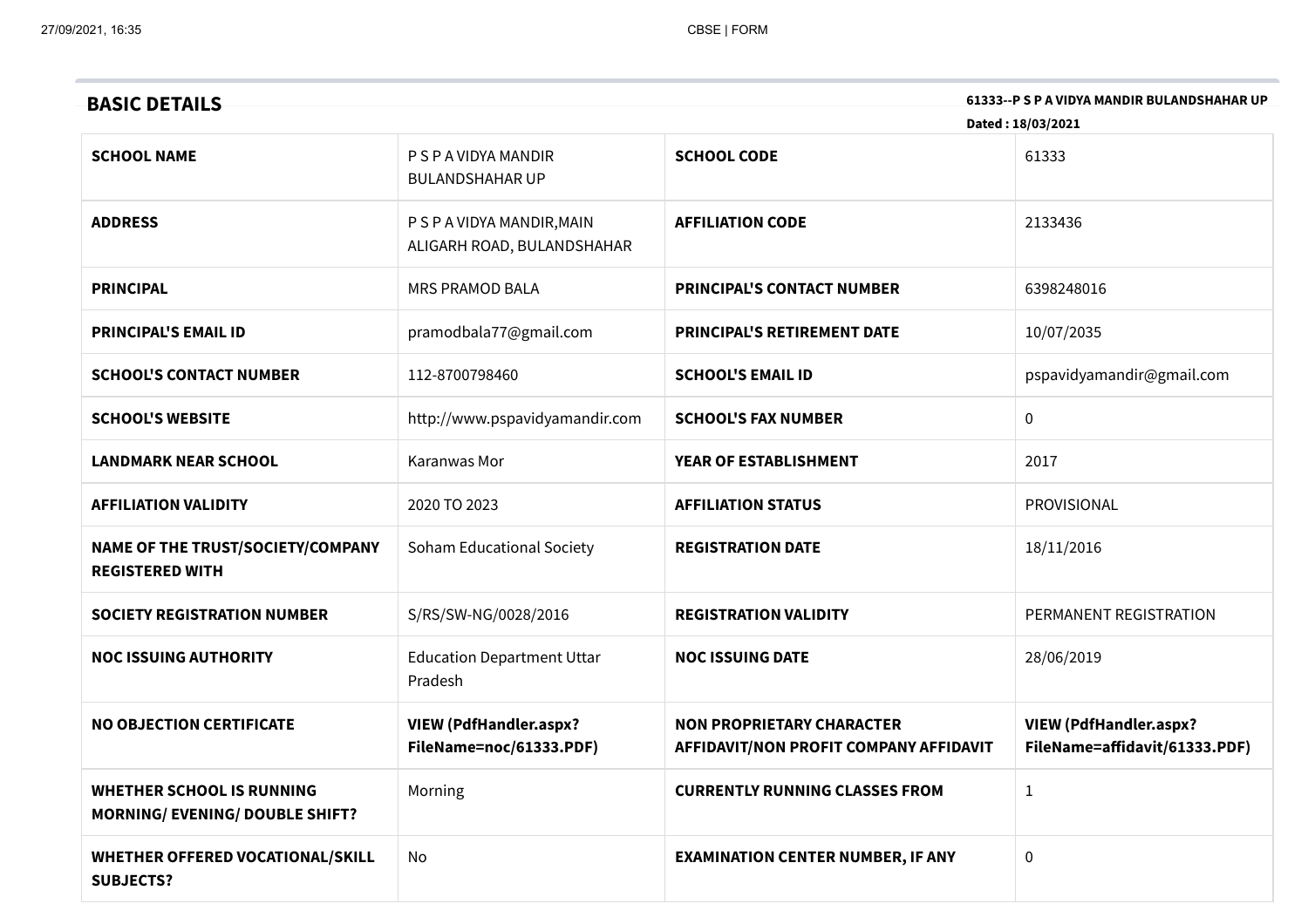| 61333--P S P A VIDYA MANDIR BULANDSHAHAR UP<br><b>BASIC DETAILS</b> |                                                          |                                                                            |                                                                |  |
|---------------------------------------------------------------------|----------------------------------------------------------|----------------------------------------------------------------------------|----------------------------------------------------------------|--|
|                                                                     |                                                          |                                                                            | Dated: 18/03/2021                                              |  |
| <b>SCHOOL NAME</b>                                                  | P S P A VIDYA MANDIR<br><b>BULANDSHAHAR UP</b>           | <b>SCHOOL CODE</b>                                                         | 61333                                                          |  |
| <b>ADDRESS</b>                                                      | P S P A VIDYA MANDIR, MAIN<br>ALIGARH ROAD, BULANDSHAHAR | <b>AFFILIATION CODE</b>                                                    | 2133436                                                        |  |
| <b>PRINCIPAL</b>                                                    | <b>MRS PRAMOD BALA</b>                                   | <b>PRINCIPAL'S CONTACT NUMBER</b>                                          | 6398248016                                                     |  |
| <b>PRINCIPAL'S EMAIL ID</b>                                         | pramodbala77@gmail.com                                   | PRINCIPAL'S RETIREMENT DATE                                                | 10/07/2035                                                     |  |
| <b>SCHOOL'S CONTACT NUMBER</b>                                      | 112-8700798460                                           | <b>SCHOOL'S EMAIL ID</b>                                                   | pspavidyamandir@gmail.com                                      |  |
| <b>SCHOOL'S WEBSITE</b>                                             | http://www.pspavidyamandir.com                           | <b>SCHOOL'S FAX NUMBER</b>                                                 | $\pmb{0}$                                                      |  |
| <b>LANDMARK NEAR SCHOOL</b>                                         | Karanwas Mor                                             | YEAR OF ESTABLISHMENT                                                      | 2017                                                           |  |
| <b>AFFILIATION VALIDITY</b>                                         | 2020 TO 2023                                             | <b>AFFILIATION STATUS</b>                                                  | PROVISIONAL                                                    |  |
| NAME OF THE TRUST/SOCIETY/COMPANY<br><b>REGISTERED WITH</b>         | Soham Educational Society                                | <b>REGISTRATION DATE</b>                                                   | 18/11/2016                                                     |  |
| <b>SOCIETY REGISTRATION NUMBER</b>                                  | S/RS/SW-NG/0028/2016                                     | <b>REGISTRATION VALIDITY</b>                                               | PERMANENT REGISTRATION                                         |  |
| <b>NOC ISSUING AUTHORITY</b>                                        | <b>Education Department Uttar</b><br>Pradesh             | <b>NOC ISSUING DATE</b>                                                    | 28/06/2019                                                     |  |
| <b>NO OBJECTION CERTIFICATE</b>                                     | <b>VIEW (PdfHandler.aspx?</b><br>FileName=noc/61333.PDF) | <b>NON PROPRIETARY CHARACTER</b><br>AFFIDAVIT/NON PROFIT COMPANY AFFIDAVIT | <b>VIEW (PdfHandler.aspx?</b><br>FileName=affidavit/61333.PDF) |  |
| WHETHER SCHOOL IS RUNNING<br><b>MORNING/ EVENING/ DOUBLE SHIFT?</b> | Morning                                                  | <b>CURRENTLY RUNNING CLASSES FROM</b>                                      | $\mathbf{1}$                                                   |  |
| WHETHER OFFERED VOCATIONAL/SKILL<br><b>SUBJECTS?</b>                | No                                                       | <b>EXAMINATION CENTER NUMBER, IF ANY</b>                                   | $\pmb{0}$                                                      |  |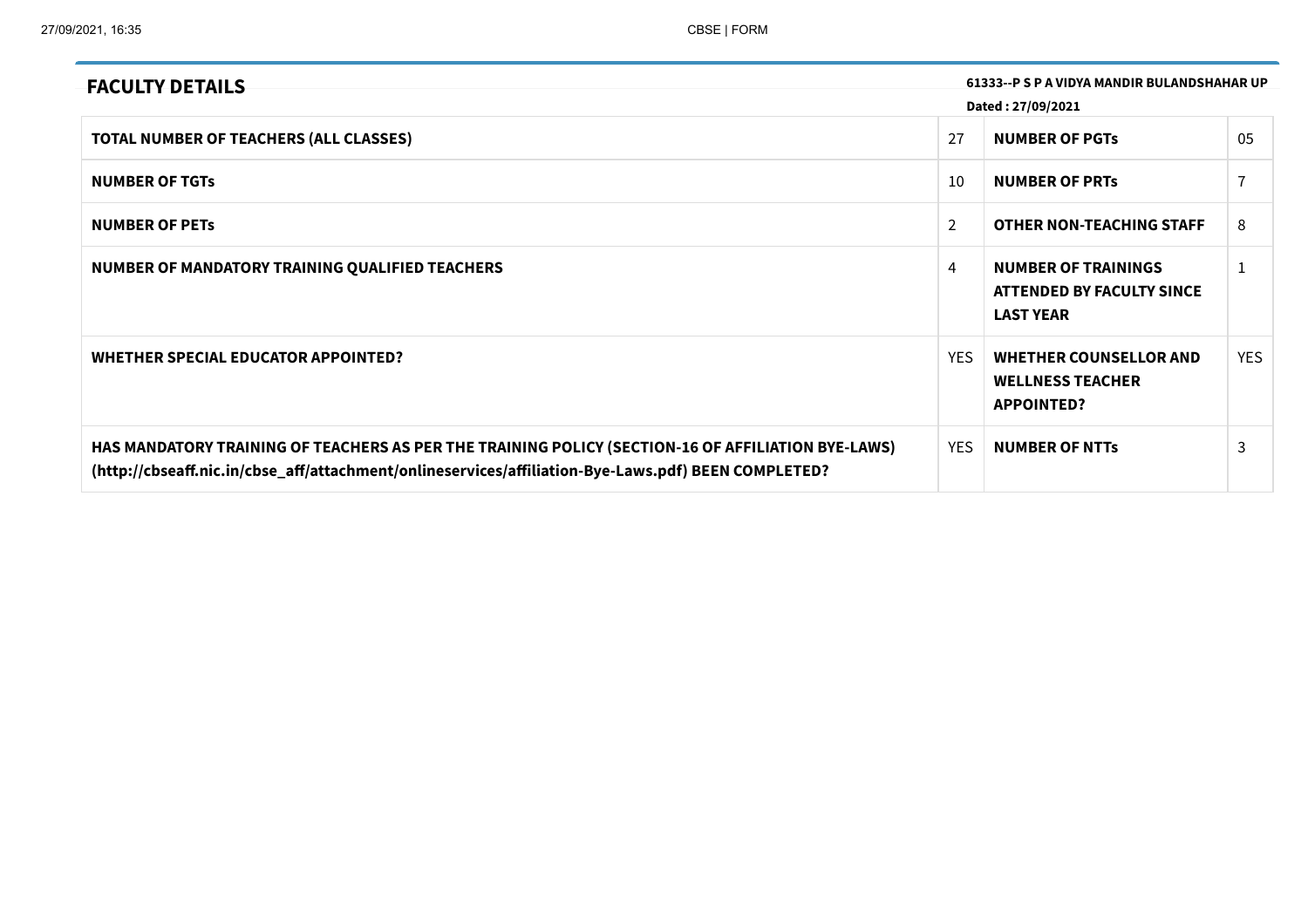| 61333--P S P A VIDYA MANDIR BULANDSHAHAR UP<br><b>FACULTY DETAILS</b>                                                                                                                                     |                |                                                                               |            |
|-----------------------------------------------------------------------------------------------------------------------------------------------------------------------------------------------------------|----------------|-------------------------------------------------------------------------------|------------|
|                                                                                                                                                                                                           |                | Dated: 27/09/2021                                                             |            |
| <b>TOTAL NUMBER OF TEACHERS (ALL CLASSES)</b>                                                                                                                                                             | 27             | <b>NUMBER OF PGTS</b>                                                         | 05         |
| <b>NUMBER OF TGTS</b>                                                                                                                                                                                     | 10             | <b>NUMBER OF PRTS</b>                                                         |            |
| <b>NUMBER OF PETS</b>                                                                                                                                                                                     | $\overline{2}$ | <b>OTHER NON-TEACHING STAFF</b>                                               | 8          |
| NUMBER OF MANDATORY TRAINING QUALIFIED TEACHERS                                                                                                                                                           | 4              | <b>NUMBER OF TRAININGS</b><br>ATTENDED BY FACULTY SINCE<br><b>LAST YEAR</b>   |            |
| WHETHER SPECIAL EDUCATOR APPOINTED?                                                                                                                                                                       | <b>YES</b>     | <b>WHETHER COUNSELLOR AND</b><br><b>WELLNESS TEACHER</b><br><b>APPOINTED?</b> | <b>YES</b> |
| HAS MANDATORY TRAINING OF TEACHERS AS PER THE TRAINING POLICY (SECTION-16 OF AFFILIATION BYE-LAWS)<br>(http://cbseaff.nic.in/cbse_aff/attachment/onlineservices/affiliation-Bye-Laws.pdf) BEEN COMPLETED? | <b>YES</b>     | <b>NUMBER OF NTTS</b>                                                         | 3          |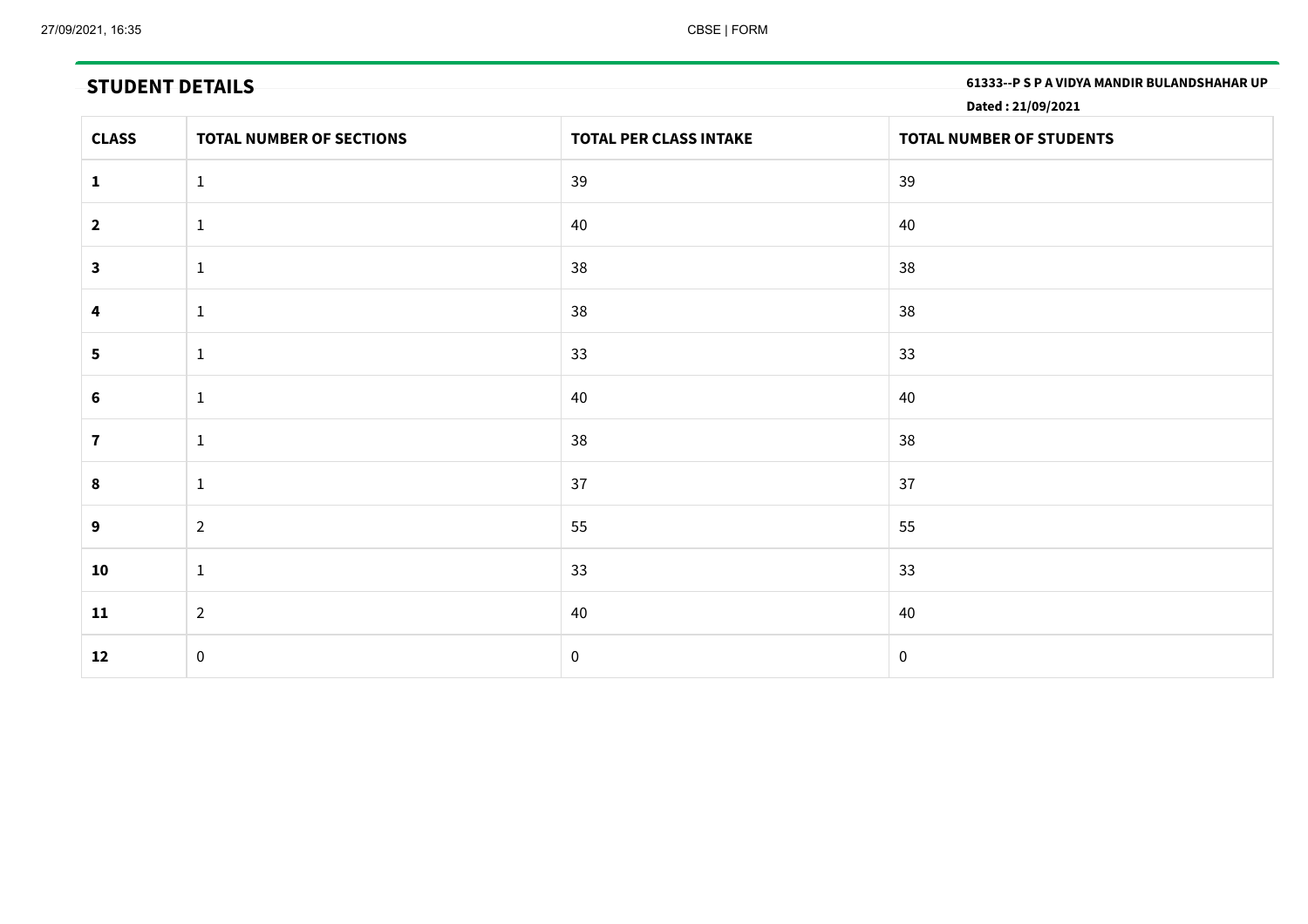**STUDENT DETAILS 61333--P <sup>S</sup> <sup>P</sup> <sup>A</sup> VIDYA MANDIR BULANDSHAHAR UP**

**Dated : 21/09/2021**

| <b>CLASS</b>   | <b>TOTAL NUMBER OF SECTIONS</b> | <b>TOTAL PER CLASS INTAKE</b> | TOTAL NUMBER OF STUDENTS |
|----------------|---------------------------------|-------------------------------|--------------------------|
| $\mathbf{1}$   | $\mathbf{1}$                    | 39                            | 39                       |
| $\overline{2}$ | $\mathbf{1}$                    | 40                            | 40                       |
| $\mathbf{3}$   | $\mathbf{1}$                    | 38                            | 38                       |
| 4              | $\mathbf{1}$                    | 38                            | 38                       |
| 5              | $\mathbf{1}$                    | 33                            | 33                       |
| 6              | $\mathbf{1}$                    | 40                            | 40                       |
| $\mathbf{7}$   | $\mathbf{1}$                    | 38                            | 38                       |
| 8              | $\mathbf{1}$                    | 37                            | 37                       |
| 9              | $\overline{2}$                  | 55                            | 55                       |
| 10             | $\mathbf{1}$                    | 33                            | 33                       |
| 11             | $\overline{2}$                  | 40                            | 40                       |
| 12             | $\boldsymbol{0}$                | $\mathbf 0$                   | $\mathbf 0$              |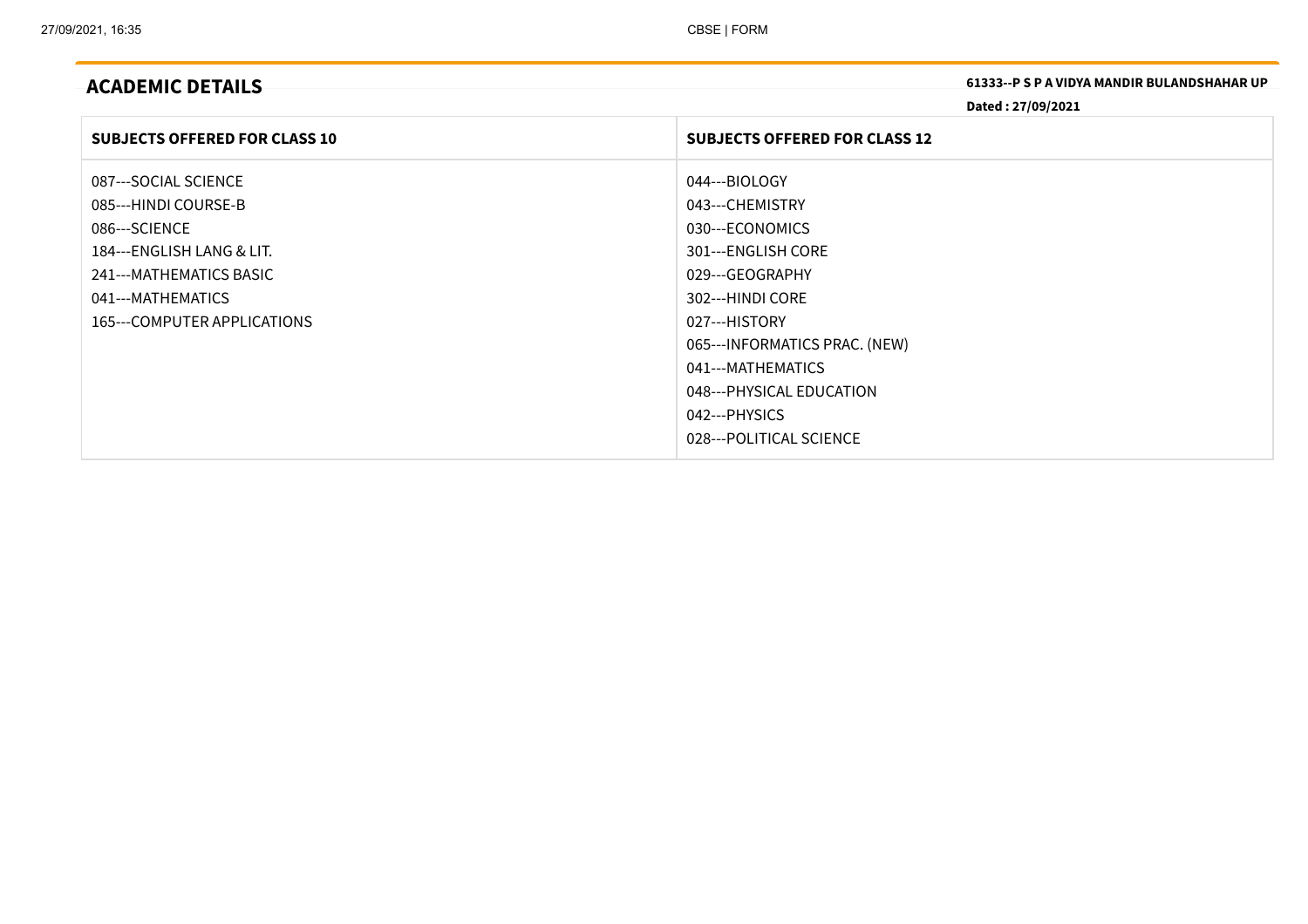**ACADEMIC DETAILS 61333--P <sup>S</sup> <sup>P</sup> <sup>A</sup> VIDYA MANDIR BULANDSHAHAR UP**

**Dated : 27/09/2021**

| <b>SUBJECTS OFFERED FOR CLASS 10</b> | <b>SUBJECTS OFFERED FOR CLASS 12</b> |
|--------------------------------------|--------------------------------------|
| 087---SOCIAL SCIENCE                 | 044---BIOLOGY                        |
| 085---HINDI COURSE-B                 | 043---CHEMISTRY                      |
| 086---SCIENCE                        | 030---ECONOMICS                      |
| 184---ENGLISH LANG & LIT.            | 301---ENGLISH CORE                   |
| 241---MATHEMATICS BASIC              | 029---GEOGRAPHY                      |
| 041---MATHEMATICS                    | 302---HINDI CORE                     |
| 165---COMPUTER APPLICATIONS          | 027---HISTORY                        |
|                                      | 065---INFORMATICS PRAC. (NEW)        |
|                                      | 041---MATHEMATICS                    |
|                                      | 048---PHYSICAL EDUCATION             |
|                                      | 042---PHYSICS                        |
|                                      | 028---POLITICAL SCIENCE              |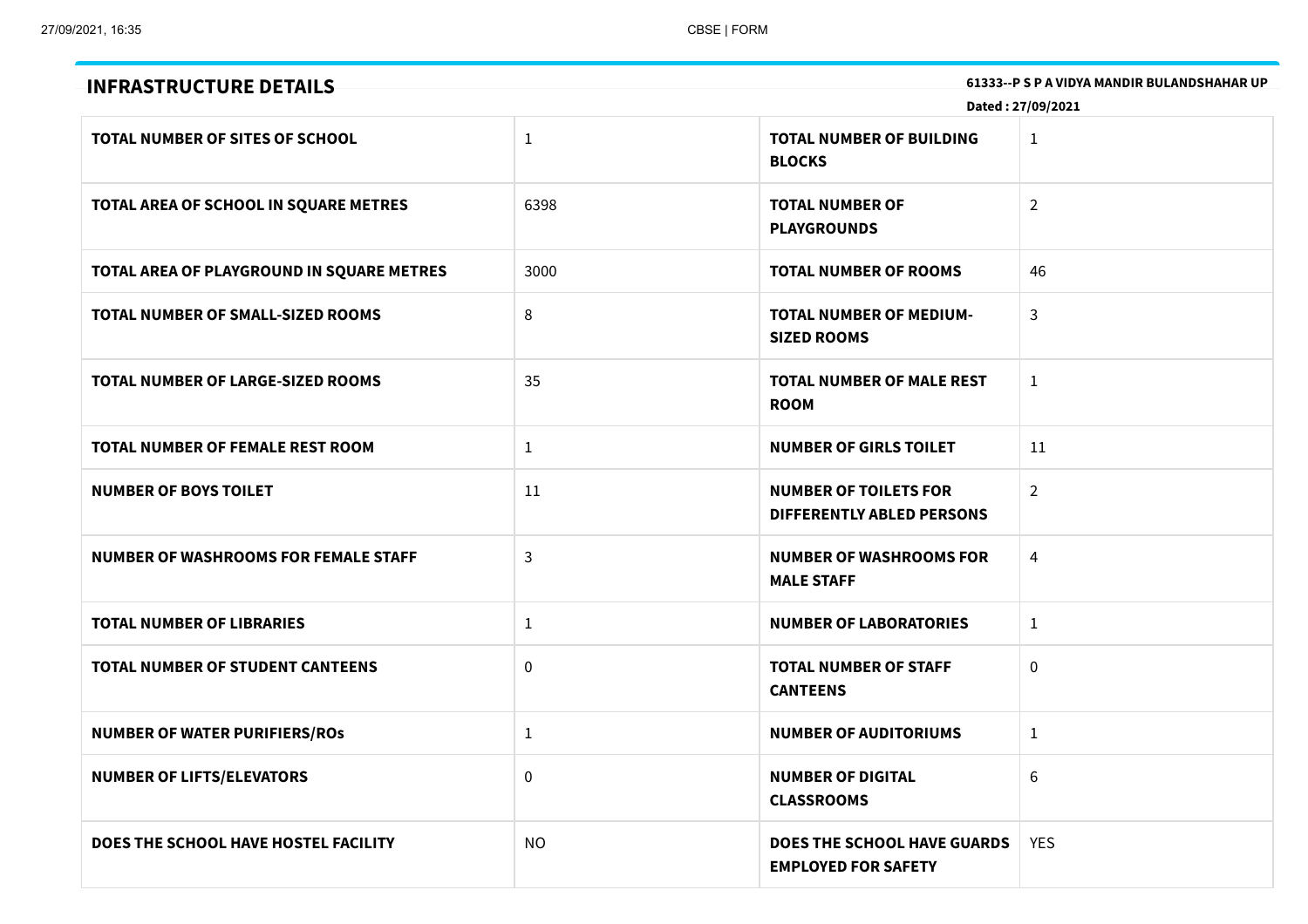| 61333--P S P A VIDYA MANDIR BULANDSHAHAR UP<br><b>INFRASTRUCTURE DETAILS</b> |              |                                                                  |                |  |  |
|------------------------------------------------------------------------------|--------------|------------------------------------------------------------------|----------------|--|--|
| Dated: 27/09/2021                                                            |              |                                                                  |                |  |  |
| <b>TOTAL NUMBER OF SITES OF SCHOOL</b>                                       | $\mathbf{1}$ | <b>TOTAL NUMBER OF BUILDING</b><br><b>BLOCKS</b>                 | $\mathbf{1}$   |  |  |
| TOTAL AREA OF SCHOOL IN SQUARE METRES                                        | 6398         | <b>TOTAL NUMBER OF</b><br><b>PLAYGROUNDS</b>                     | $\overline{2}$ |  |  |
| TOTAL AREA OF PLAYGROUND IN SQUARE METRES                                    | 3000         | <b>TOTAL NUMBER OF ROOMS</b>                                     | 46             |  |  |
| TOTAL NUMBER OF SMALL-SIZED ROOMS                                            | 8            | <b>TOTAL NUMBER OF MEDIUM-</b><br><b>SIZED ROOMS</b>             | 3              |  |  |
| TOTAL NUMBER OF LARGE-SIZED ROOMS                                            | 35           | <b>TOTAL NUMBER OF MALE REST</b><br><b>ROOM</b>                  | $\mathbf{1}$   |  |  |
| <b>TOTAL NUMBER OF FEMALE REST ROOM</b>                                      | $\mathbf{1}$ | <b>NUMBER OF GIRLS TOILET</b>                                    | 11             |  |  |
| <b>NUMBER OF BOYS TOILET</b>                                                 | 11           | <b>NUMBER OF TOILETS FOR</b><br>DIFFERENTLY ABLED PERSONS        | $\overline{2}$ |  |  |
| NUMBER OF WASHROOMS FOR FEMALE STAFF                                         | 3            | <b>NUMBER OF WASHROOMS FOR</b><br><b>MALE STAFF</b>              | $\overline{4}$ |  |  |
| <b>TOTAL NUMBER OF LIBRARIES</b>                                             | $\mathbf{1}$ | <b>NUMBER OF LABORATORIES</b>                                    | $\mathbf{1}$   |  |  |
| <b>TOTAL NUMBER OF STUDENT CANTEENS</b>                                      | 0            | <b>TOTAL NUMBER OF STAFF</b><br><b>CANTEENS</b>                  | $\mathbf 0$    |  |  |
| <b>NUMBER OF WATER PURIFIERS/ROS</b>                                         | $\mathbf{1}$ | <b>NUMBER OF AUDITORIUMS</b>                                     | $\mathbf{1}$   |  |  |
| <b>NUMBER OF LIFTS/ELEVATORS</b>                                             | $\mathbf 0$  | <b>NUMBER OF DIGITAL</b><br><b>CLASSROOMS</b>                    | 6              |  |  |
| DOES THE SCHOOL HAVE HOSTEL FACILITY                                         | <b>NO</b>    | <b>DOES THE SCHOOL HAVE GUARDS</b><br><b>EMPLOYED FOR SAFETY</b> | <b>YES</b>     |  |  |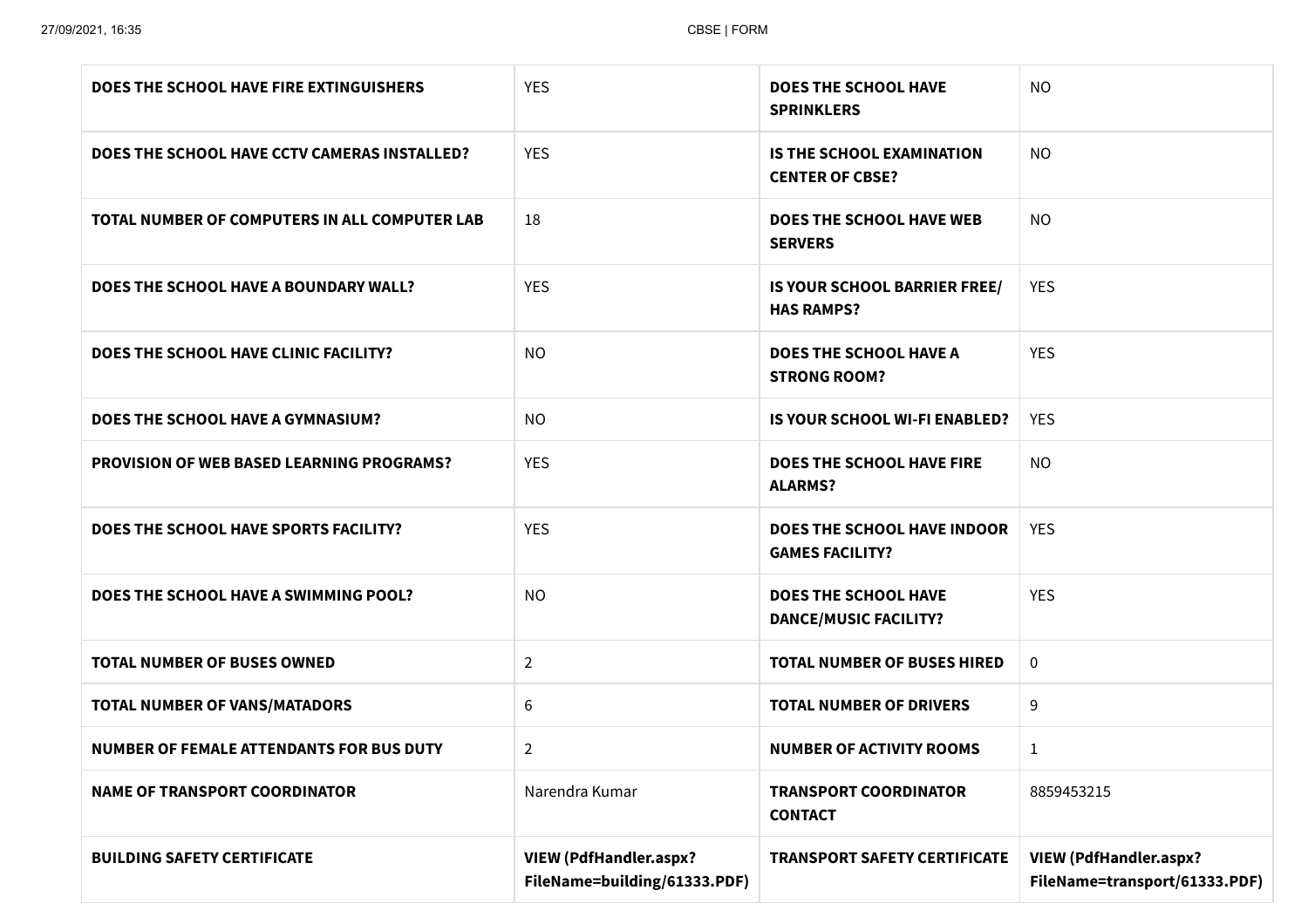| DOES THE SCHOOL HAVE FIRE EXTINGUISHERS          | <b>YES</b>                                                    | <b>DOES THE SCHOOL HAVE</b><br><b>SPRINKLERS</b>             | <b>NO</b>                                                      |
|--------------------------------------------------|---------------------------------------------------------------|--------------------------------------------------------------|----------------------------------------------------------------|
| DOES THE SCHOOL HAVE CCTV CAMERAS INSTALLED?     | <b>YES</b>                                                    | <b>IS THE SCHOOL EXAMINATION</b><br><b>CENTER OF CBSE?</b>   | <b>NO</b>                                                      |
| TOTAL NUMBER OF COMPUTERS IN ALL COMPUTER LAB    | 18                                                            | <b>DOES THE SCHOOL HAVE WEB</b><br><b>SERVERS</b>            | <b>NO</b>                                                      |
| DOES THE SCHOOL HAVE A BOUNDARY WALL?            | <b>YES</b>                                                    | IS YOUR SCHOOL BARRIER FREE/<br><b>HAS RAMPS?</b>            | <b>YES</b>                                                     |
| DOES THE SCHOOL HAVE CLINIC FACILITY?            | NO.                                                           | <b>DOES THE SCHOOL HAVE A</b><br><b>STRONG ROOM?</b>         | <b>YES</b>                                                     |
| DOES THE SCHOOL HAVE A GYMNASIUM?                | NO.                                                           | IS YOUR SCHOOL WI-FI ENABLED?                                | <b>YES</b>                                                     |
| <b>PROVISION OF WEB BASED LEARNING PROGRAMS?</b> | <b>YES</b>                                                    | DOES THE SCHOOL HAVE FIRE<br><b>ALARMS?</b>                  | <b>NO</b>                                                      |
| DOES THE SCHOOL HAVE SPORTS FACILITY?            | <b>YES</b>                                                    | <b>DOES THE SCHOOL HAVE INDOOR</b><br><b>GAMES FACILITY?</b> | <b>YES</b>                                                     |
| DOES THE SCHOOL HAVE A SWIMMING POOL?            | NO.                                                           | <b>DOES THE SCHOOL HAVE</b><br><b>DANCE/MUSIC FACILITY?</b>  | <b>YES</b>                                                     |
| <b>TOTAL NUMBER OF BUSES OWNED</b>               | $\overline{2}$                                                | <b>TOTAL NUMBER OF BUSES HIRED</b>                           | $\mathbf 0$                                                    |
| <b>TOTAL NUMBER OF VANS/MATADORS</b>             | 6                                                             | <b>TOTAL NUMBER OF DRIVERS</b>                               | 9                                                              |
| <b>NUMBER OF FEMALE ATTENDANTS FOR BUS DUTY</b>  | $\overline{2}$                                                | <b>NUMBER OF ACTIVITY ROOMS</b>                              | 1                                                              |
| <b>NAME OF TRANSPORT COORDINATOR</b>             | Narendra Kumar                                                | <b>TRANSPORT COORDINATOR</b><br><b>CONTACT</b>               | 8859453215                                                     |
| <b>BUILDING SAFETY CERTIFICATE</b>               | <b>VIEW (PdfHandler.aspx?</b><br>FileName=building/61333.PDF) | <b>TRANSPORT SAFETY CERTIFICATE</b>                          | <b>VIEW (PdfHandler.aspx?</b><br>FileName=transport/61333.PDF) |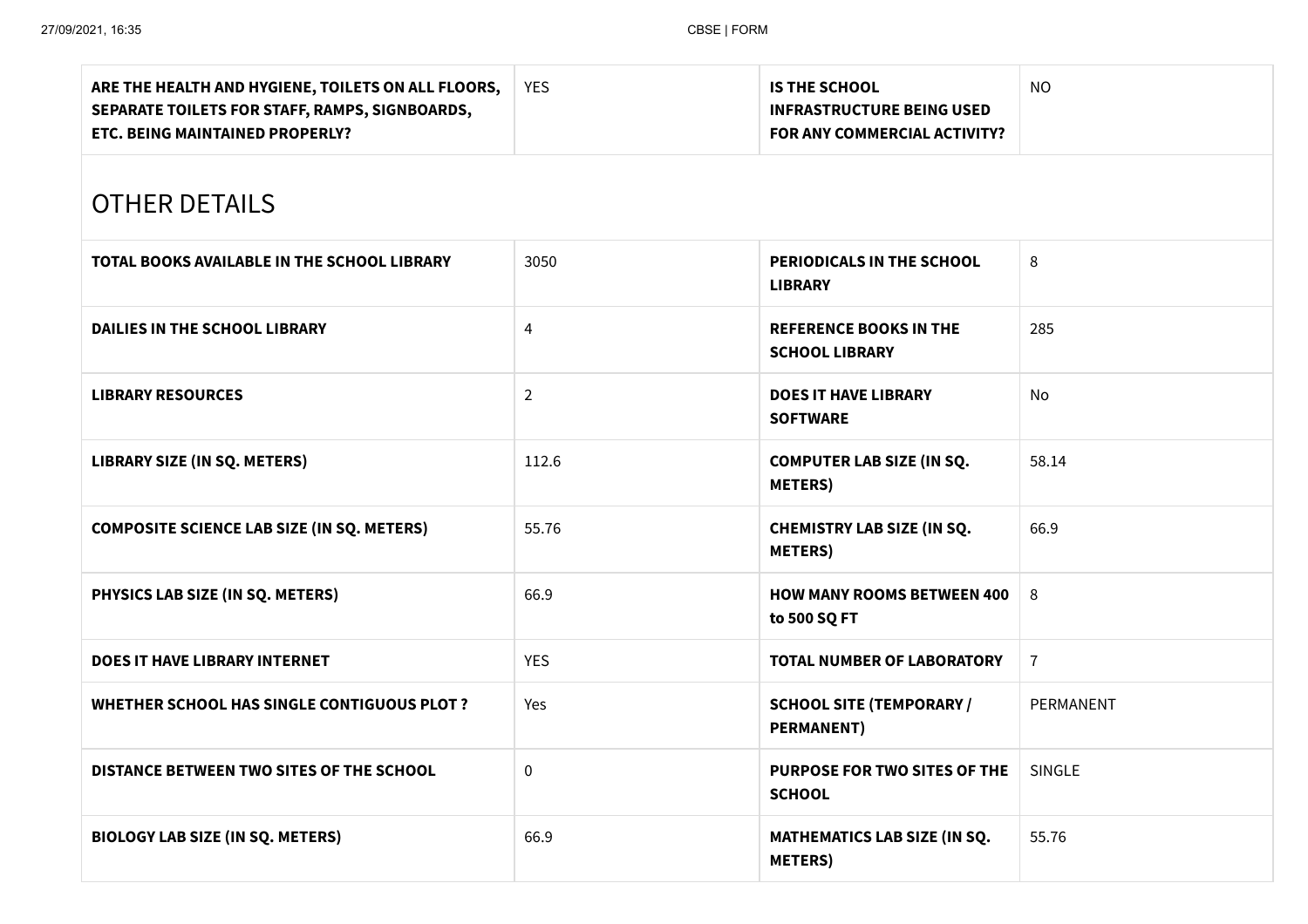| ARE THE HEALTH AND HYGIENE, TOILETS ON ALL FLOORS,<br>SEPARATE TOILETS FOR STAFF, RAMPS, SIGNBOARDS,<br>ETC. BEING MAINTAINED PROPERLY? | <b>YES</b>     | <b>IS THE SCHOOL</b><br><b>INFRASTRUCTURE BEING USED</b><br>FOR ANY COMMERCIAL ACTIVITY? | <b>NO</b>      |  |  |
|-----------------------------------------------------------------------------------------------------------------------------------------|----------------|------------------------------------------------------------------------------------------|----------------|--|--|
| <b>OTHER DETAILS</b>                                                                                                                    |                |                                                                                          |                |  |  |
| TOTAL BOOKS AVAILABLE IN THE SCHOOL LIBRARY                                                                                             | 3050           | PERIODICALS IN THE SCHOOL<br><b>LIBRARY</b>                                              | 8              |  |  |
| DAILIES IN THE SCHOOL LIBRARY                                                                                                           | 4              | <b>REFERENCE BOOKS IN THE</b><br><b>SCHOOL LIBRARY</b>                                   | 285            |  |  |
| <b>LIBRARY RESOURCES</b>                                                                                                                | $\overline{2}$ | <b>DOES IT HAVE LIBRARY</b><br><b>SOFTWARE</b>                                           | No             |  |  |
| LIBRARY SIZE (IN SQ. METERS)                                                                                                            | 112.6          | <b>COMPUTER LAB SIZE (IN SQ.</b><br><b>METERS</b> )                                      | 58.14          |  |  |
| <b>COMPOSITE SCIENCE LAB SIZE (IN SQ. METERS)</b>                                                                                       | 55.76          | <b>CHEMISTRY LAB SIZE (IN SQ.</b><br><b>METERS</b> )                                     | 66.9           |  |  |
| PHYSICS LAB SIZE (IN SQ. METERS)                                                                                                        | 66.9           | <b>HOW MANY ROOMS BETWEEN 400</b><br>to 500 SQ FT                                        | 8              |  |  |
| <b>DOES IT HAVE LIBRARY INTERNET</b>                                                                                                    | <b>YES</b>     | <b>TOTAL NUMBER OF LABORATORY</b>                                                        | $\overline{7}$ |  |  |
| <b>WHETHER SCHOOL HAS SINGLE CONTIGUOUS PLOT ?</b>                                                                                      | Yes            | <b>SCHOOL SITE (TEMPORARY /</b><br><b>PERMANENT)</b>                                     | PERMANENT      |  |  |
| DISTANCE BETWEEN TWO SITES OF THE SCHOOL                                                                                                | $\mathbf 0$    | PURPOSE FOR TWO SITES OF THE<br><b>SCHOOL</b>                                            | SINGLE         |  |  |
| <b>BIOLOGY LAB SIZE (IN SQ. METERS)</b>                                                                                                 | 66.9           | MATHEMATICS LAB SIZE (IN SQ.<br><b>METERS</b> )                                          | 55.76          |  |  |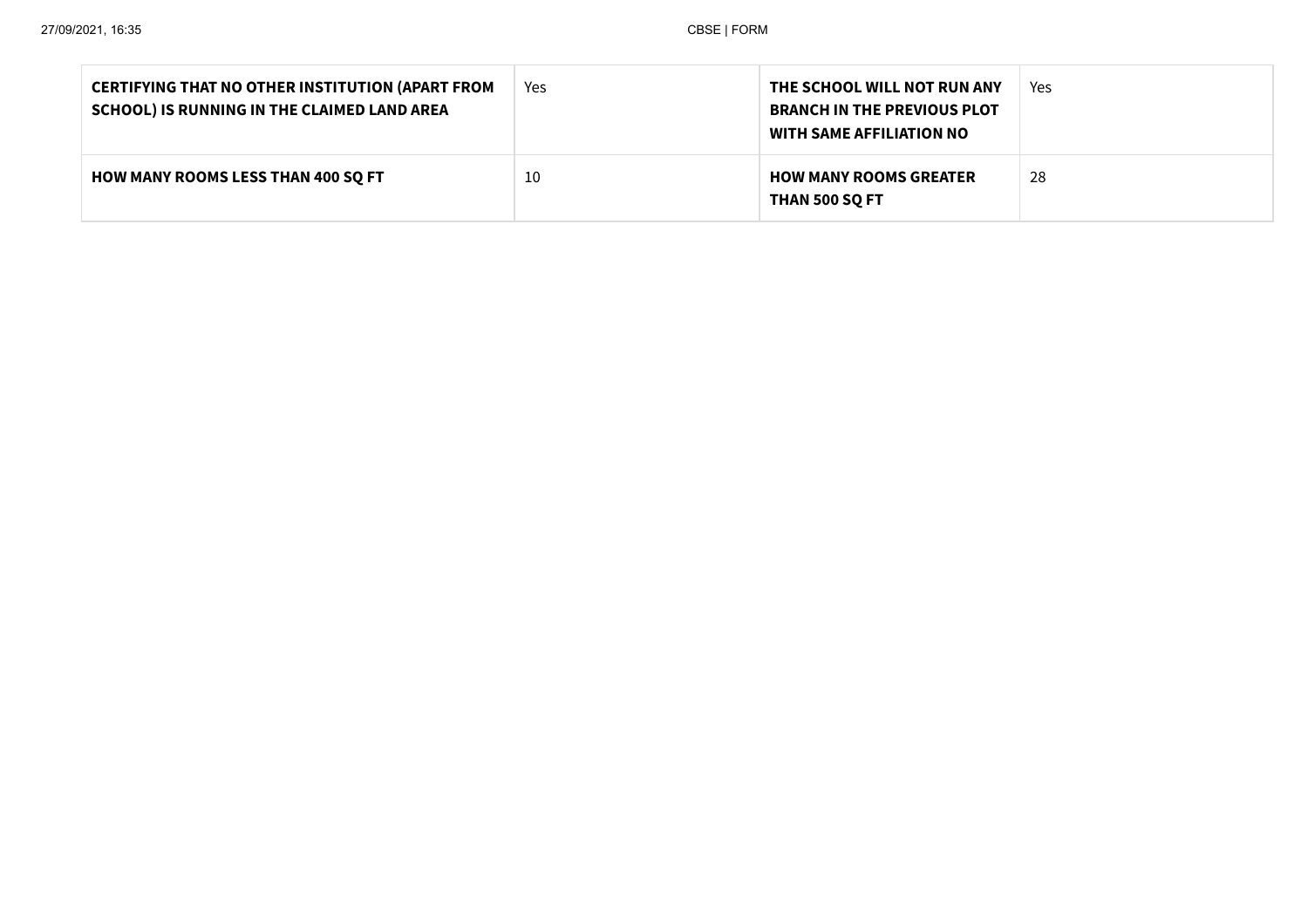| <b>CERTIFYING THAT NO OTHER INSTITUTION (APART FROM</b><br>SCHOOL) IS RUNNING IN THE CLAIMED LAND AREA | Yes | THE SCHOOL WILL NOT RUN ANY<br><b>BRANCH IN THE PREVIOUS PLOT</b><br><b>WITH SAME AFFILIATION NO</b> | Yes |
|--------------------------------------------------------------------------------------------------------|-----|------------------------------------------------------------------------------------------------------|-----|
| <b>HOW MANY ROOMS LESS THAN 400 SO FT</b>                                                              | 10  | <b>HOW MANY ROOMS GREATER</b><br><b>THAN 500 SQ FT</b>                                               | 28  |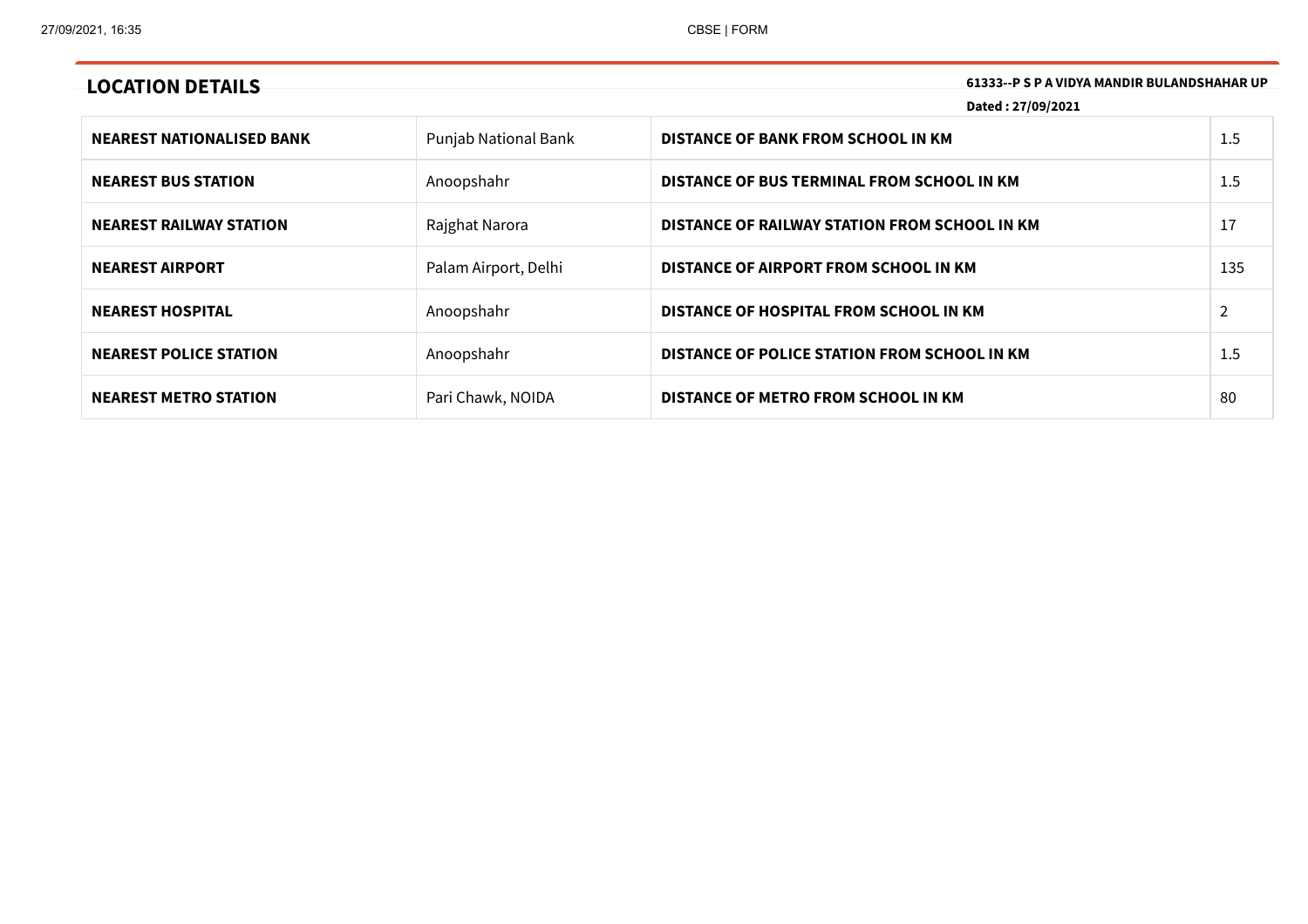**LOCATION DETAILS 61333--P <sup>S</sup> <sup>P</sup> <sup>A</sup> VIDYA MANDIR BULANDSHAHAR UP**

**Dated : 27/09/2021**

| <b>NEAREST NATIONALISED BANK</b> | Punjab National Bank | DISTANCE OF BANK FROM SCHOOL IN KM            | 1.5 |
|----------------------------------|----------------------|-----------------------------------------------|-----|
| <b>NEAREST BUS STATION</b>       | Anoopshahr           | DISTANCE OF BUS TERMINAL FROM SCHOOL IN KM    | 1.5 |
| <b>NEAREST RAILWAY STATION</b>   | Rajghat Narora       | DISTANCE OF RAILWAY STATION FROM SCHOOL IN KM | 17  |
| <b>NEAREST AIRPORT</b>           | Palam Airport, Delhi | DISTANCE OF AIRPORT FROM SCHOOL IN KM         | 135 |
| <b>NEAREST HOSPITAL</b>          | Anoopshahr           | DISTANCE OF HOSPITAL FROM SCHOOL IN KM        |     |
| <b>NEAREST POLICE STATION</b>    | Anoopshahr           | DISTANCE OF POLICE STATION FROM SCHOOL IN KM  | 1.5 |
| <b>NEAREST METRO STATION</b>     | Pari Chawk, NOIDA    | DISTANCE OF METRO FROM SCHOOL IN KM           | 80  |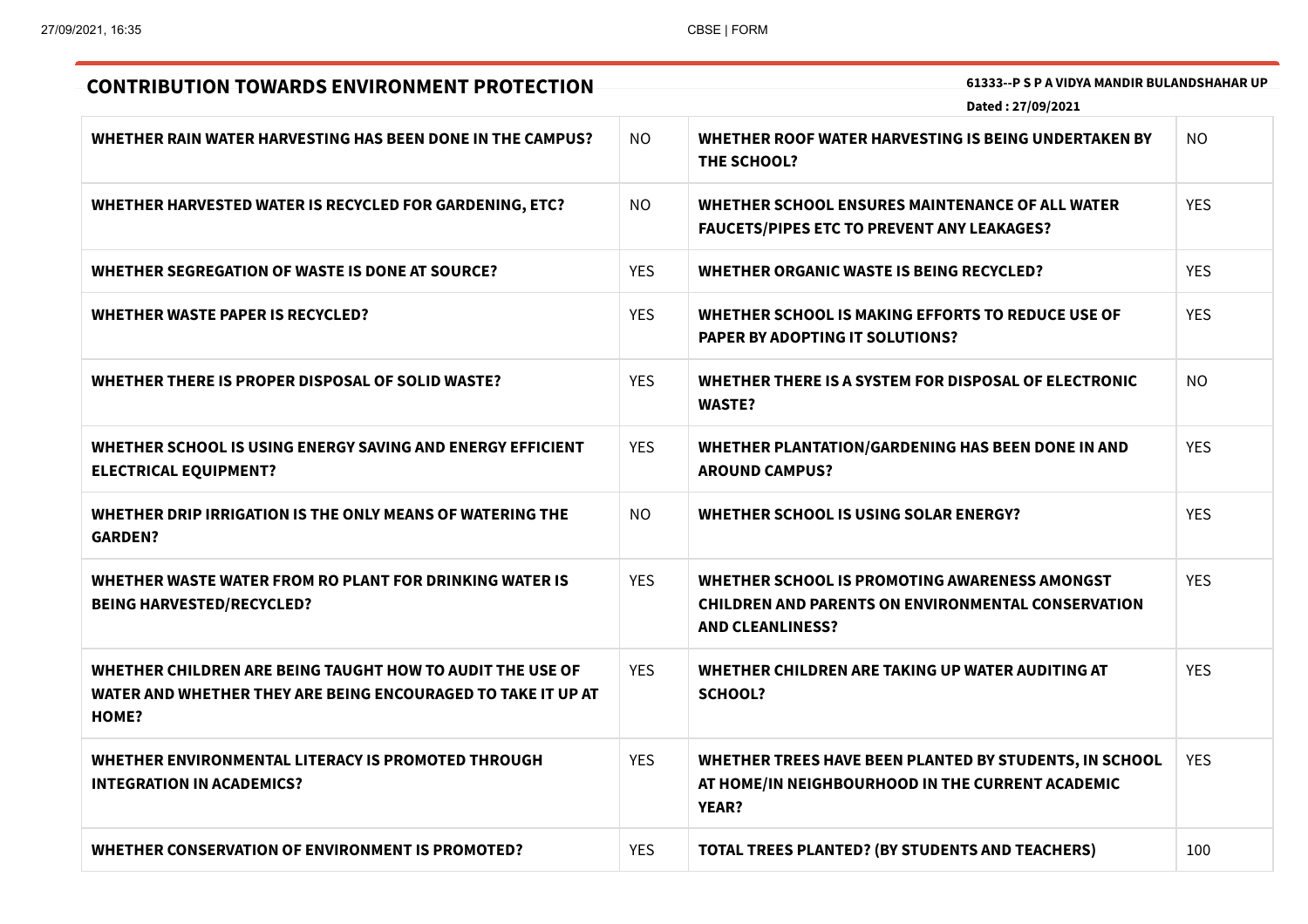| 61333--P S P A VIDYA MANDIR BULANDSHAHAR UP<br><b>CONTRIBUTION TOWARDS ENVIRONMENT PROTECTION</b><br>Dated: 27/09/2021                    |            |                                                                                                                                       |            |
|-------------------------------------------------------------------------------------------------------------------------------------------|------------|---------------------------------------------------------------------------------------------------------------------------------------|------------|
|                                                                                                                                           |            |                                                                                                                                       |            |
| WHETHER RAIN WATER HARVESTING HAS BEEN DONE IN THE CAMPUS?                                                                                | NO.        | WHETHER ROOF WATER HARVESTING IS BEING UNDERTAKEN BY<br><b>THE SCHOOL?</b>                                                            | NO.        |
| WHETHER HARVESTED WATER IS RECYCLED FOR GARDENING, ETC?                                                                                   | NO.        | WHETHER SCHOOL ENSURES MAINTENANCE OF ALL WATER<br><b>FAUCETS/PIPES ETC TO PREVENT ANY LEAKAGES?</b>                                  | <b>YES</b> |
| WHETHER SEGREGATION OF WASTE IS DONE AT SOURCE?                                                                                           | <b>YES</b> | WHETHER ORGANIC WASTE IS BEING RECYCLED?                                                                                              | <b>YES</b> |
| <b>WHETHER WASTE PAPER IS RECYCLED?</b>                                                                                                   | <b>YES</b> | WHETHER SCHOOL IS MAKING EFFORTS TO REDUCE USE OF<br><b>PAPER BY ADOPTING IT SOLUTIONS?</b>                                           | <b>YES</b> |
| WHETHER THERE IS PROPER DISPOSAL OF SOLID WASTE?                                                                                          | <b>YES</b> | WHETHER THERE IS A SYSTEM FOR DISPOSAL OF ELECTRONIC<br><b>WASTE?</b>                                                                 | NO.        |
| WHETHER SCHOOL IS USING ENERGY SAVING AND ENERGY EFFICIENT<br><b>ELECTRICAL EQUIPMENT?</b>                                                | <b>YES</b> | <b>WHETHER PLANTATION/GARDENING HAS BEEN DONE IN AND</b><br><b>AROUND CAMPUS?</b>                                                     | <b>YES</b> |
| WHETHER DRIP IRRIGATION IS THE ONLY MEANS OF WATERING THE<br><b>GARDEN?</b>                                                               | <b>NO</b>  | WHETHER SCHOOL IS USING SOLAR ENERGY?                                                                                                 | <b>YES</b> |
| WHETHER WASTE WATER FROM RO PLANT FOR DRINKING WATER IS<br><b>BEING HARVESTED/RECYCLED?</b>                                               | <b>YES</b> | WHETHER SCHOOL IS PROMOTING AWARENESS AMONGST<br><b>CHILDREN AND PARENTS ON ENVIRONMENTAL CONSERVATION</b><br><b>AND CLEANLINESS?</b> | <b>YES</b> |
| WHETHER CHILDREN ARE BEING TAUGHT HOW TO AUDIT THE USE OF<br>WATER AND WHETHER THEY ARE BEING ENCOURAGED TO TAKE IT UP AT<br><b>HOME?</b> | <b>YES</b> | WHETHER CHILDREN ARE TAKING UP WATER AUDITING AT<br><b>SCHOOL?</b>                                                                    | <b>YES</b> |
| WHETHER ENVIRONMENTAL LITERACY IS PROMOTED THROUGH<br><b>INTEGRATION IN ACADEMICS?</b>                                                    | <b>YES</b> | WHETHER TREES HAVE BEEN PLANTED BY STUDENTS, IN SCHOOL<br>AT HOME/IN NEIGHBOURHOOD IN THE CURRENT ACADEMIC<br><b>YEAR?</b>            | <b>YES</b> |
| WHETHER CONSERVATION OF ENVIRONMENT IS PROMOTED?                                                                                          | <b>YES</b> | <b>TOTAL TREES PLANTED? (BY STUDENTS AND TEACHERS)</b>                                                                                | 100        |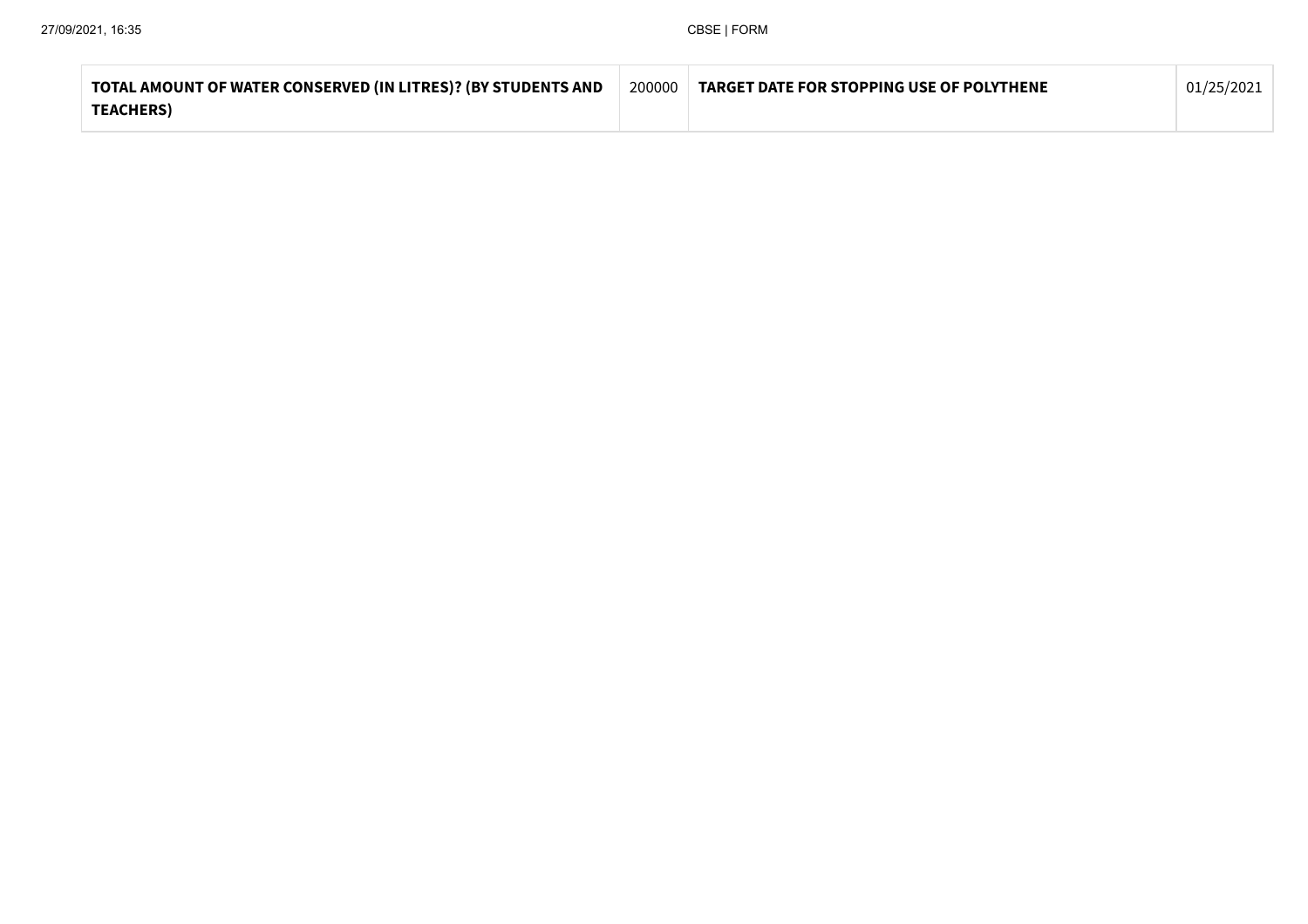| TOTAL AMOUNT OF WATER CONSERVED (IN LITRES)? (BY STUDENTS AND | 200000 | <b>TARGET DATE FOR STOPPING USE OF POLYTHENE</b> | 01/25/2021 |
|---------------------------------------------------------------|--------|--------------------------------------------------|------------|
| <b>TEACHERS)</b>                                              |        |                                                  |            |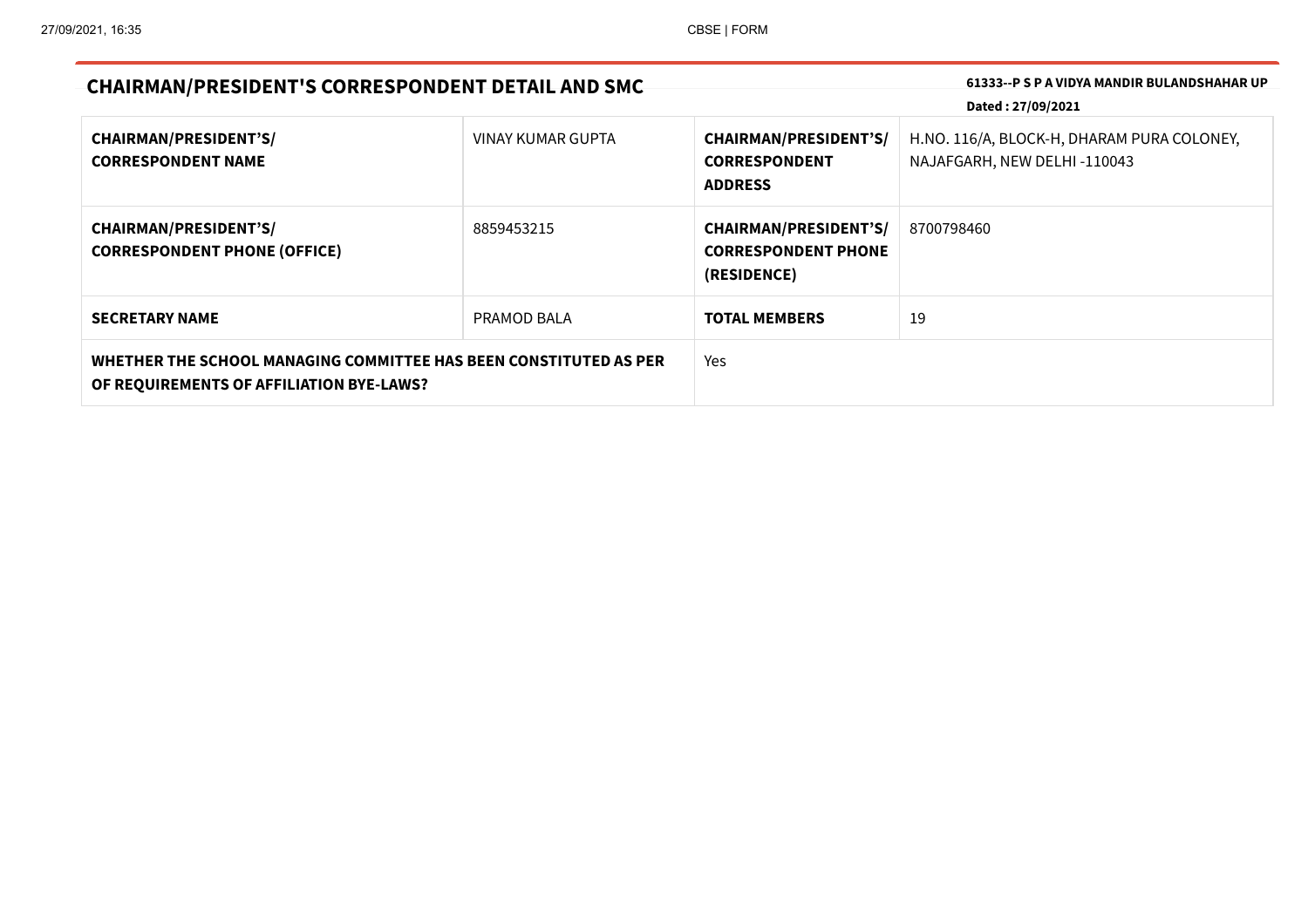| <b>CHAIRMAN/PRESIDENT'S CORRESPONDENT DETAIL AND SMC</b>                                                      |                   | 61333--P S P A VIDYA MANDIR BULANDSHAHAR UP<br>Dated: 27/09/2021          |                                                                           |
|---------------------------------------------------------------------------------------------------------------|-------------------|---------------------------------------------------------------------------|---------------------------------------------------------------------------|
| <b>CHAIRMAN/PRESIDENT'S/</b><br><b>CORRESPONDENT NAME</b>                                                     | VINAY KUMAR GUPTA | <b>CHAIRMAN/PRESIDENT'S/</b><br><b>CORRESPONDENT</b><br><b>ADDRESS</b>    | H.NO. 116/A, BLOCK-H, DHARAM PURA COLONEY,<br>NAJAFGARH, NEW DELHI-110043 |
| <b>CHAIRMAN/PRESIDENT'S/</b><br><b>CORRESPONDENT PHONE (OFFICE)</b>                                           | 8859453215        | <b>CHAIRMAN/PRESIDENT'S/</b><br><b>CORRESPONDENT PHONE</b><br>(RESIDENCE) | 8700798460                                                                |
| <b>SECRETARY NAME</b>                                                                                         | PRAMOD BALA       | <b>TOTAL MEMBERS</b>                                                      | 19                                                                        |
| WHETHER THE SCHOOL MANAGING COMMITTEE HAS BEEN CONSTITUTED AS PER<br>OF REQUIREMENTS OF AFFILIATION BYE-LAWS? |                   | Yes                                                                       |                                                                           |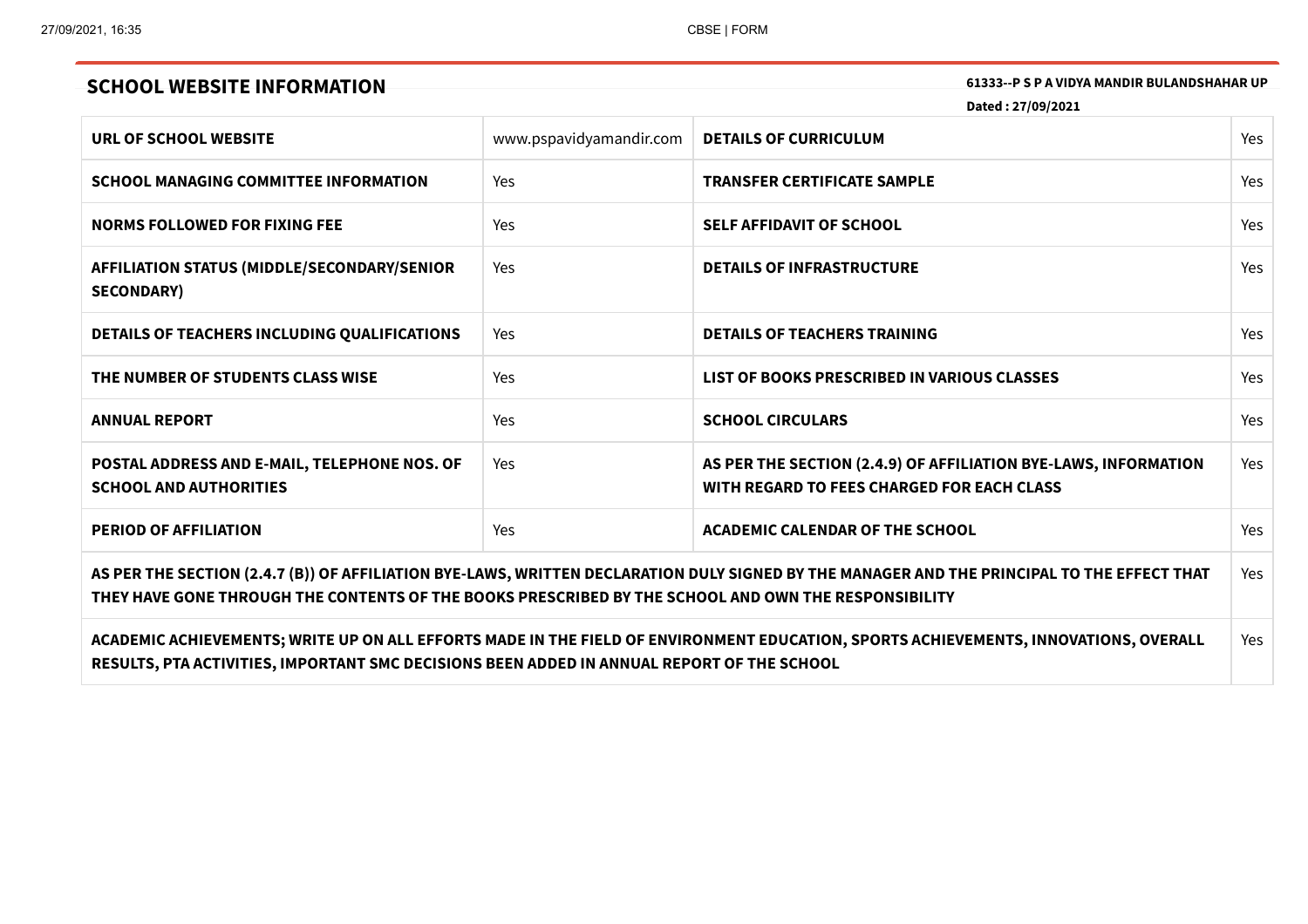# **SCHOOL WEBSITE INFORMATION 61333--P** SPA VIDYA MANDIR BULANDSHAHAR UP

**Dated : 27/09/2021**

| URL OF SCHOOL WEBSITE                                                                                                                                                                                                                               | www.pspavidyamandir.com | <b>DETAILS OF CURRICULUM</b>                                                                                  | Yes |
|-----------------------------------------------------------------------------------------------------------------------------------------------------------------------------------------------------------------------------------------------------|-------------------------|---------------------------------------------------------------------------------------------------------------|-----|
| <b>SCHOOL MANAGING COMMITTEE INFORMATION</b>                                                                                                                                                                                                        | Yes                     | <b>TRANSFER CERTIFICATE SAMPLE</b>                                                                            | Yes |
| <b>NORMS FOLLOWED FOR FIXING FEE</b>                                                                                                                                                                                                                | Yes                     | <b>SELF AFFIDAVIT OF SCHOOL</b>                                                                               | Yes |
| <b>AFFILIATION STATUS (MIDDLE/SECONDARY/SENIOR</b><br><b>SECONDARY)</b>                                                                                                                                                                             | <b>Yes</b>              | <b>DETAILS OF INFRASTRUCTURE</b>                                                                              | Yes |
| DETAILS OF TEACHERS INCLUDING QUALIFICATIONS                                                                                                                                                                                                        | Yes                     | <b>DETAILS OF TEACHERS TRAINING</b>                                                                           | Yes |
| THE NUMBER OF STUDENTS CLASS WISE                                                                                                                                                                                                                   | Yes                     | LIST OF BOOKS PRESCRIBED IN VARIOUS CLASSES                                                                   | Yes |
| <b>ANNUAL REPORT</b>                                                                                                                                                                                                                                | Yes                     | <b>SCHOOL CIRCULARS</b>                                                                                       | Yes |
| POSTAL ADDRESS AND E-MAIL, TELEPHONE NOS. OF<br><b>SCHOOL AND AUTHORITIES</b>                                                                                                                                                                       | Yes                     | AS PER THE SECTION (2.4.9) OF AFFILIATION BYE-LAWS, INFORMATION<br>WITH REGARD TO FEES CHARGED FOR EACH CLASS | Yes |
| <b>PERIOD OF AFFILIATION</b>                                                                                                                                                                                                                        | Yes                     | ACADEMIC CALENDAR OF THE SCHOOL                                                                               | Yes |
| AS PER THE SECTION (2.4.7 (B)) OF AFFILIATION BYE-LAWS, WRITTEN DECLARATION DULY SIGNED BY THE MANAGER AND THE PRINCIPAL TO THE EFFECT THAT<br>THEY HAVE GONE THROUGH THE CONTENTS OF THE BOOKS PRESCRIBED BY THE SCHOOL AND OWN THE RESPONSIBILITY |                         |                                                                                                               |     |
| ACADEMIC ACHIEVEMENTS; WRITE UP ON ALL EFFORTS MADE IN THE FIELD OF ENVIRONMENT EDUCATION, SPORTS ACHIEVEMENTS, INNOVATIONS, OVERALL                                                                                                                |                         |                                                                                                               |     |

**RESULTS, PTA ACTIVITIES, IMPORTANT SMC DECISIONS BEEN ADDED IN ANNUAL REPORT OF THE SCHOOL**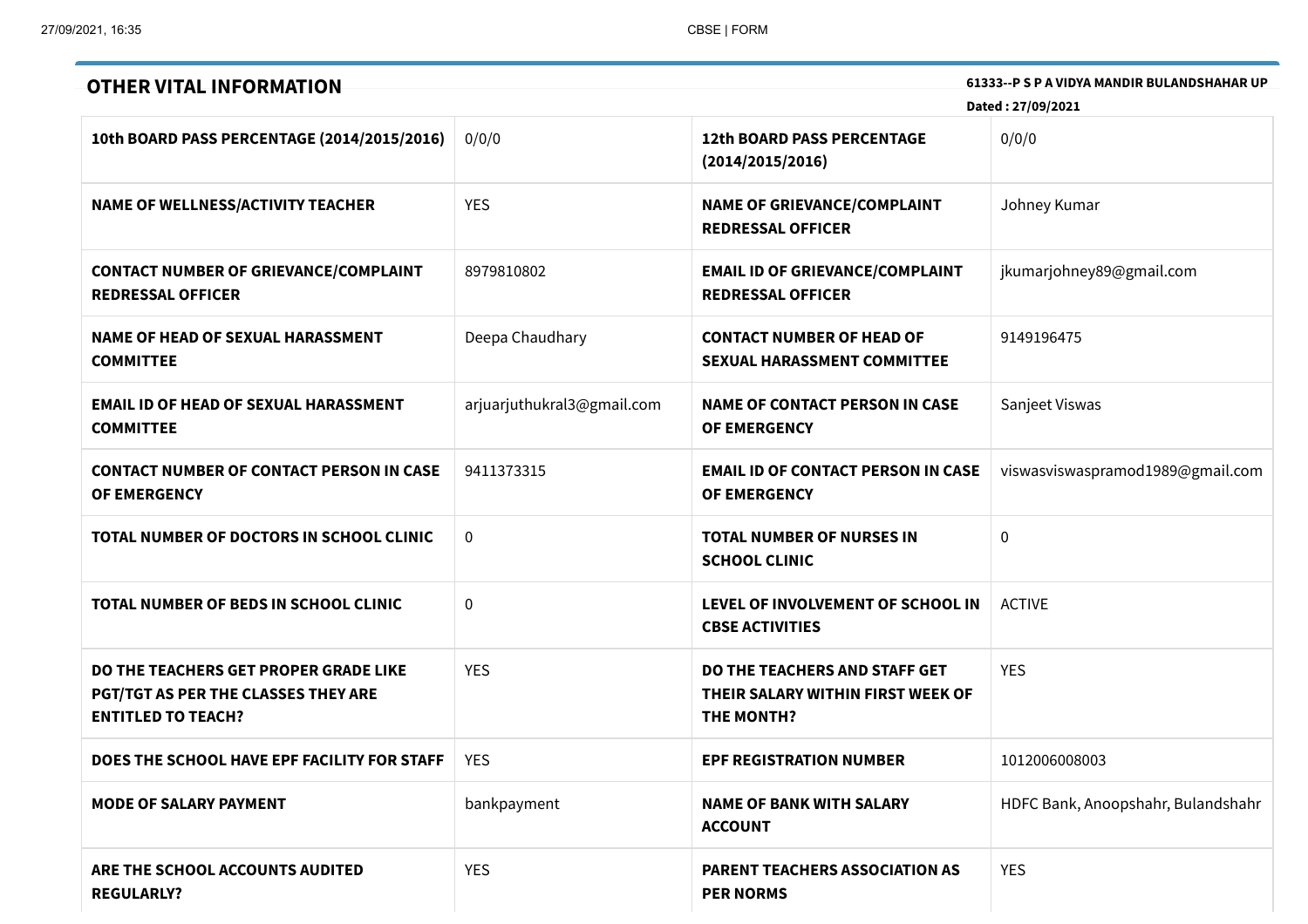| <b>OTHER VITAL INFORMATION</b>                                                                            |                            |                                                                                  | 61333--P S P A VIDYA MANDIR BULANDSHAHAR UP |
|-----------------------------------------------------------------------------------------------------------|----------------------------|----------------------------------------------------------------------------------|---------------------------------------------|
|                                                                                                           |                            |                                                                                  | Dated: 27/09/2021                           |
| 10th BOARD PASS PERCENTAGE (2014/2015/2016)                                                               | 0/0/0                      | <b>12th BOARD PASS PERCENTAGE</b><br>(2014/2015/2016)                            | 0/0/0                                       |
| <b>NAME OF WELLNESS/ACTIVITY TEACHER</b>                                                                  | <b>YES</b>                 | <b>NAME OF GRIEVANCE/COMPLAINT</b><br><b>REDRESSAL OFFICER</b>                   | Johney Kumar                                |
| <b>CONTACT NUMBER OF GRIEVANCE/COMPLAINT</b><br><b>REDRESSAL OFFICER</b>                                  | 8979810802                 | <b>EMAIL ID OF GRIEVANCE/COMPLAINT</b><br><b>REDRESSAL OFFICER</b>               | jkumarjohney89@gmail.com                    |
| <b>NAME OF HEAD OF SEXUAL HARASSMENT</b><br><b>COMMITTEE</b>                                              | Deepa Chaudhary            | <b>CONTACT NUMBER OF HEAD OF</b><br><b>SEXUAL HARASSMENT COMMITTEE</b>           | 9149196475                                  |
| <b>EMAIL ID OF HEAD OF SEXUAL HARASSMENT</b><br><b>COMMITTEE</b>                                          | arjuarjuthukral3@gmail.com | <b>NAME OF CONTACT PERSON IN CASE</b><br>OF EMERGENCY                            | Sanjeet Viswas                              |
| <b>CONTACT NUMBER OF CONTACT PERSON IN CASE</b><br>OF EMERGENCY                                           | 9411373315                 | <b>EMAIL ID OF CONTACT PERSON IN CASE</b><br>OF EMERGENCY                        | viswasviswaspramod1989@gmail.com            |
| TOTAL NUMBER OF DOCTORS IN SCHOOL CLINIC                                                                  | $\mathbf 0$                | <b>TOTAL NUMBER OF NURSES IN</b><br><b>SCHOOL CLINIC</b>                         | $\Omega$                                    |
| TOTAL NUMBER OF BEDS IN SCHOOL CLINIC                                                                     | 0                          | LEVEL OF INVOLVEMENT OF SCHOOL IN<br><b>CBSE ACTIVITIES</b>                      | <b>ACTIVE</b>                               |
| DO THE TEACHERS GET PROPER GRADE LIKE<br>PGT/TGT AS PER THE CLASSES THEY ARE<br><b>ENTITLED TO TEACH?</b> | <b>YES</b>                 | DO THE TEACHERS AND STAFF GET<br>THEIR SALARY WITHIN FIRST WEEK OF<br>THE MONTH? | <b>YES</b>                                  |
| DOES THE SCHOOL HAVE EPF FACILITY FOR STAFF                                                               | <b>YES</b>                 | <b>EPF REGISTRATION NUMBER</b>                                                   | 1012006008003                               |
| <b>MODE OF SALARY PAYMENT</b>                                                                             | bankpayment                | <b>NAME OF BANK WITH SALARY</b><br><b>ACCOUNT</b>                                | HDFC Bank, Anoopshahr, Bulandshahr          |
| ARE THE SCHOOL ACCOUNTS AUDITED<br><b>REGULARLY?</b>                                                      | <b>YES</b>                 | <b>PARENT TEACHERS ASSOCIATION AS</b><br><b>PER NORMS</b>                        | <b>YES</b>                                  |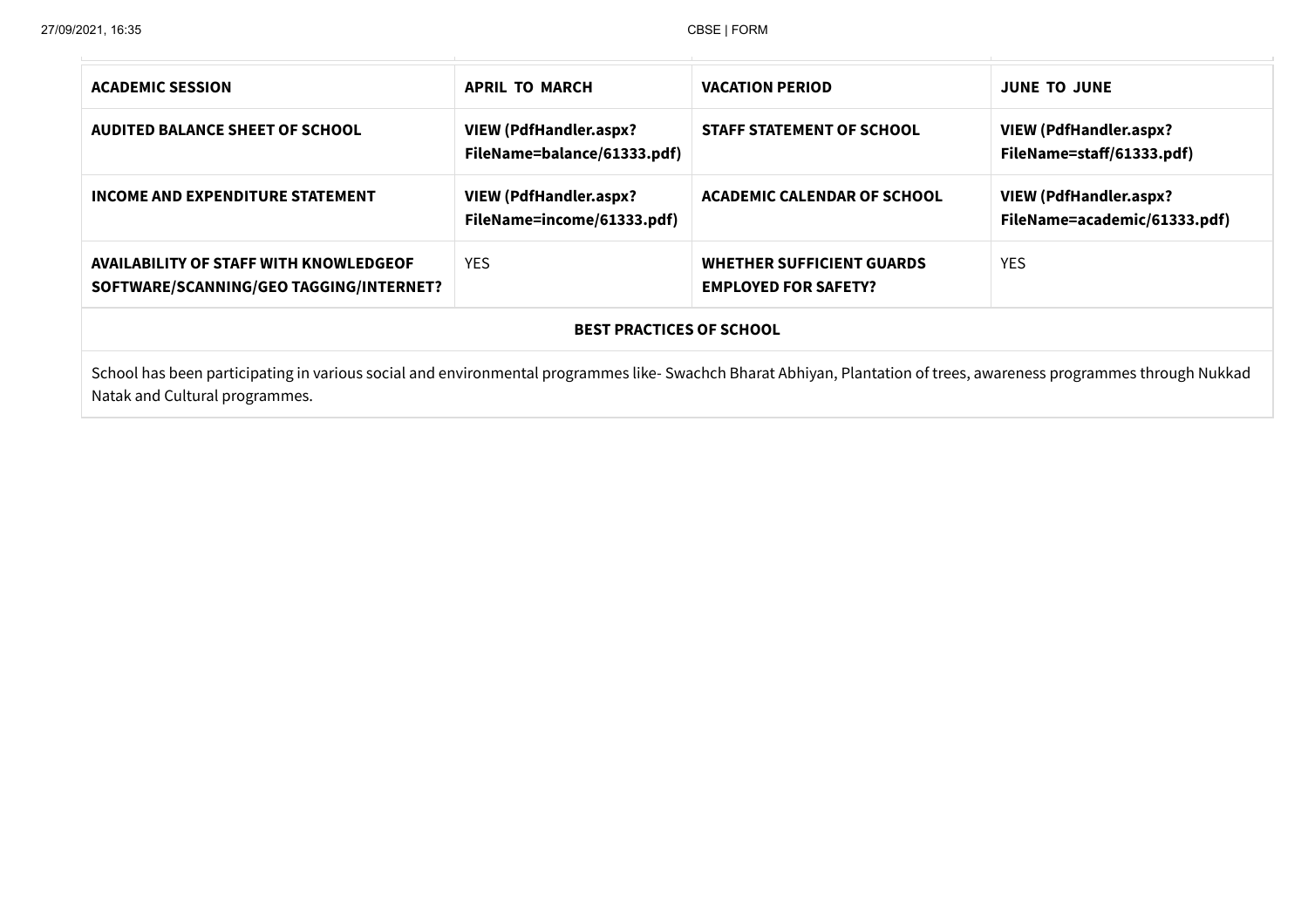| <b>ACADEMIC SESSION</b>                                                                                                                                                                               | <b>APRIL TO MARCH</b>                                                                            | <b>VACATION PERIOD</b>                                          | <b>JUNE TO JUNE</b>                                           |  |  |
|-------------------------------------------------------------------------------------------------------------------------------------------------------------------------------------------------------|--------------------------------------------------------------------------------------------------|-----------------------------------------------------------------|---------------------------------------------------------------|--|--|
| <b>AUDITED BALANCE SHEET OF SCHOOL</b>                                                                                                                                                                | <b>VIEW (PdfHandler.aspx?</b><br><b>STAFF STATEMENT OF SCHOOL</b><br>FileName=balance/61333.pdf) |                                                                 | <b>VIEW (PdfHandler.aspx?</b><br>FileName=staff/61333.pdf)    |  |  |
| INCOME AND EXPENDITURE STATEMENT                                                                                                                                                                      | <b>VIEW (PdfHandler.aspx?</b><br>FileName=income/61333.pdf)                                      | <b>ACADEMIC CALENDAR OF SCHOOL</b>                              | <b>VIEW (PdfHandler.aspx?</b><br>FileName=academic/61333.pdf) |  |  |
| AVAILABILITY OF STAFF WITH KNOWLEDGEOF<br>SOFTWARE/SCANNING/GEO TAGGING/INTERNET?                                                                                                                     | <b>YES</b>                                                                                       | <b>WHETHER SUFFICIENT GUARDS</b><br><b>EMPLOYED FOR SAFETY?</b> | <b>YES</b>                                                    |  |  |
| <b>BEST PRACTICES OF SCHOOL</b>                                                                                                                                                                       |                                                                                                  |                                                                 |                                                               |  |  |
| School has been participating in various social and environmental programmes like- Swachch Bharat Abhiyan, Plantation of trees, awareness programmes through Nukkad<br>Natak and Cultural programmes. |                                                                                                  |                                                                 |                                                               |  |  |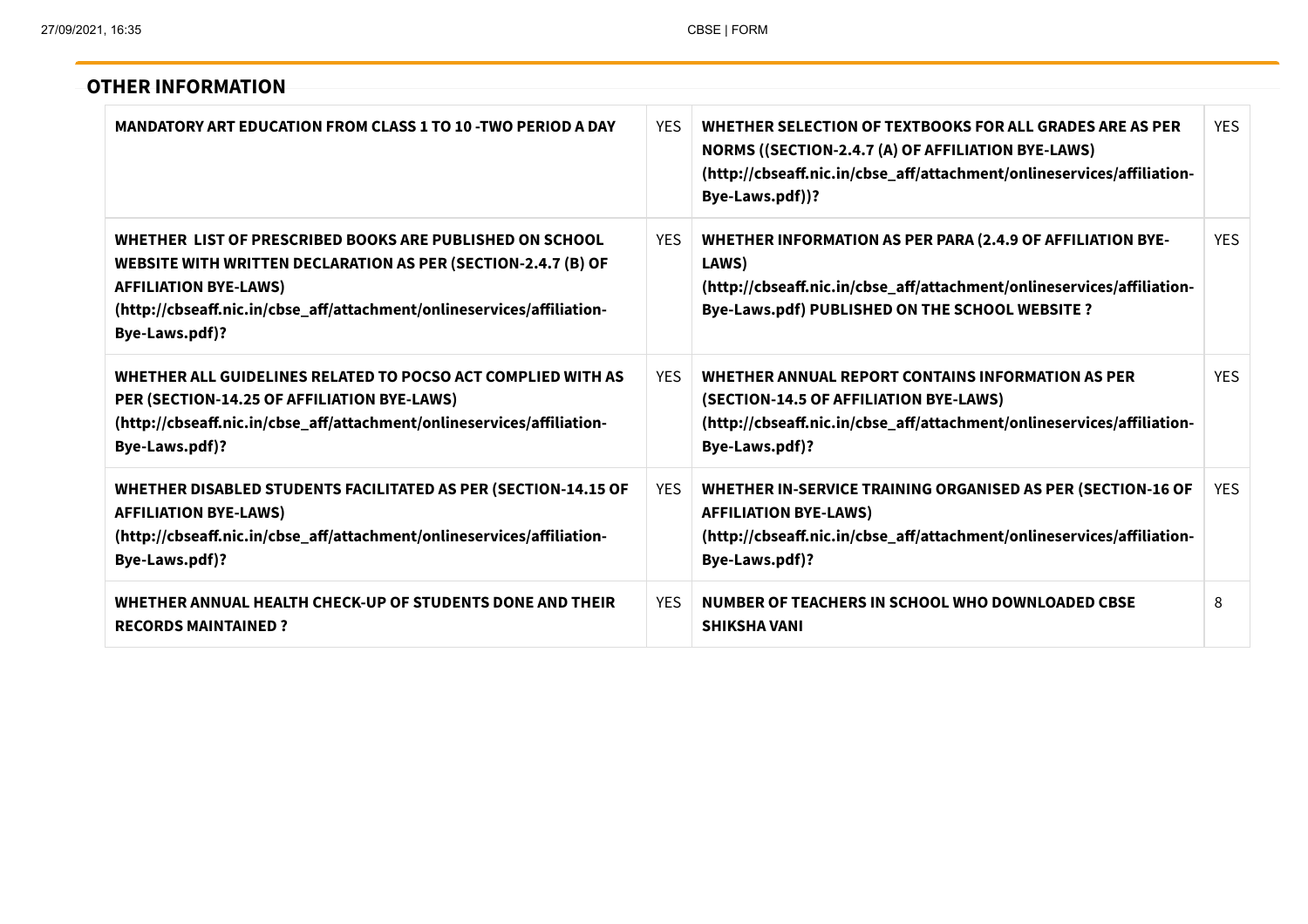| <b>OTHER INFORMATION</b>                                                                                                                                                                                                                              |            |                                                                                                                                                                                                             |            |
|-------------------------------------------------------------------------------------------------------------------------------------------------------------------------------------------------------------------------------------------------------|------------|-------------------------------------------------------------------------------------------------------------------------------------------------------------------------------------------------------------|------------|
| <b>MANDATORY ART EDUCATION FROM CLASS 1 TO 10 -TWO PERIOD A DAY</b>                                                                                                                                                                                   | <b>YES</b> | WHETHER SELECTION OF TEXTBOOKS FOR ALL GRADES ARE AS PER<br>NORMS ((SECTION-2.4.7 (A) OF AFFILIATION BYE-LAWS)<br>(http://cbseaff.nic.in/cbse_aff/attachment/onlineservices/affiliation-<br>Bye-Laws.pdf))? | <b>YES</b> |
| WHETHER LIST OF PRESCRIBED BOOKS ARE PUBLISHED ON SCHOOL<br>WEBSITE WITH WRITTEN DECLARATION AS PER (SECTION-2.4.7 (B) OF<br><b>AFFILIATION BYE-LAWS)</b><br>(http://cbseaff.nic.in/cbse_aff/attachment/onlineservices/affiliation-<br>Bye-Laws.pdf)? | YES.       | <b>WHETHER INFORMATION AS PER PARA (2.4.9 OF AFFILIATION BYE-</b><br>LAWS)<br>(http://cbseaff.nic.in/cbse_aff/attachment/onlineservices/affiliation-<br>Bye-Laws.pdf) PUBLISHED ON THE SCHOOL WEBSITE ?     | YES.       |
| WHETHER ALL GUIDELINES RELATED TO POCSO ACT COMPLIED WITH AS<br>PER (SECTION-14.25 OF AFFILIATION BYE-LAWS)<br>(http://cbseaff.nic.in/cbse_aff/attachment/onlineservices/affiliation-<br>Bye-Laws.pdf)?                                               | <b>YES</b> | WHETHER ANNUAL REPORT CONTAINS INFORMATION AS PER<br>(SECTION-14.5 OF AFFILIATION BYE-LAWS)<br>(http://cbseaff.nic.in/cbse_aff/attachment/onlineservices/affiliation-<br>Bye-Laws.pdf)?                     | <b>YES</b> |
| <b>WHETHER DISABLED STUDENTS FACILITATED AS PER (SECTION-14.15 OF</b><br><b>AFFILIATION BYE-LAWS)</b><br>(http://cbseaff.nic.in/cbse_aff/attachment/onlineservices/affiliation-<br>Bye-Laws.pdf)?                                                     | YES.       | WHETHER IN-SERVICE TRAINING ORGANISED AS PER (SECTION-16 OF<br><b>AFFILIATION BYE-LAWS)</b><br>(http://cbseaff.nic.in/cbse_aff/attachment/onlineservices/affiliation-<br>Bye-Laws.pdf)?                     | <b>YES</b> |
| WHETHER ANNUAL HEALTH CHECK-UP OF STUDENTS DONE AND THEIR<br><b>RECORDS MAINTAINED?</b>                                                                                                                                                               | <b>YES</b> | NUMBER OF TEACHERS IN SCHOOL WHO DOWNLOADED CBSE<br><b>SHIKSHA VANI</b>                                                                                                                                     | 8          |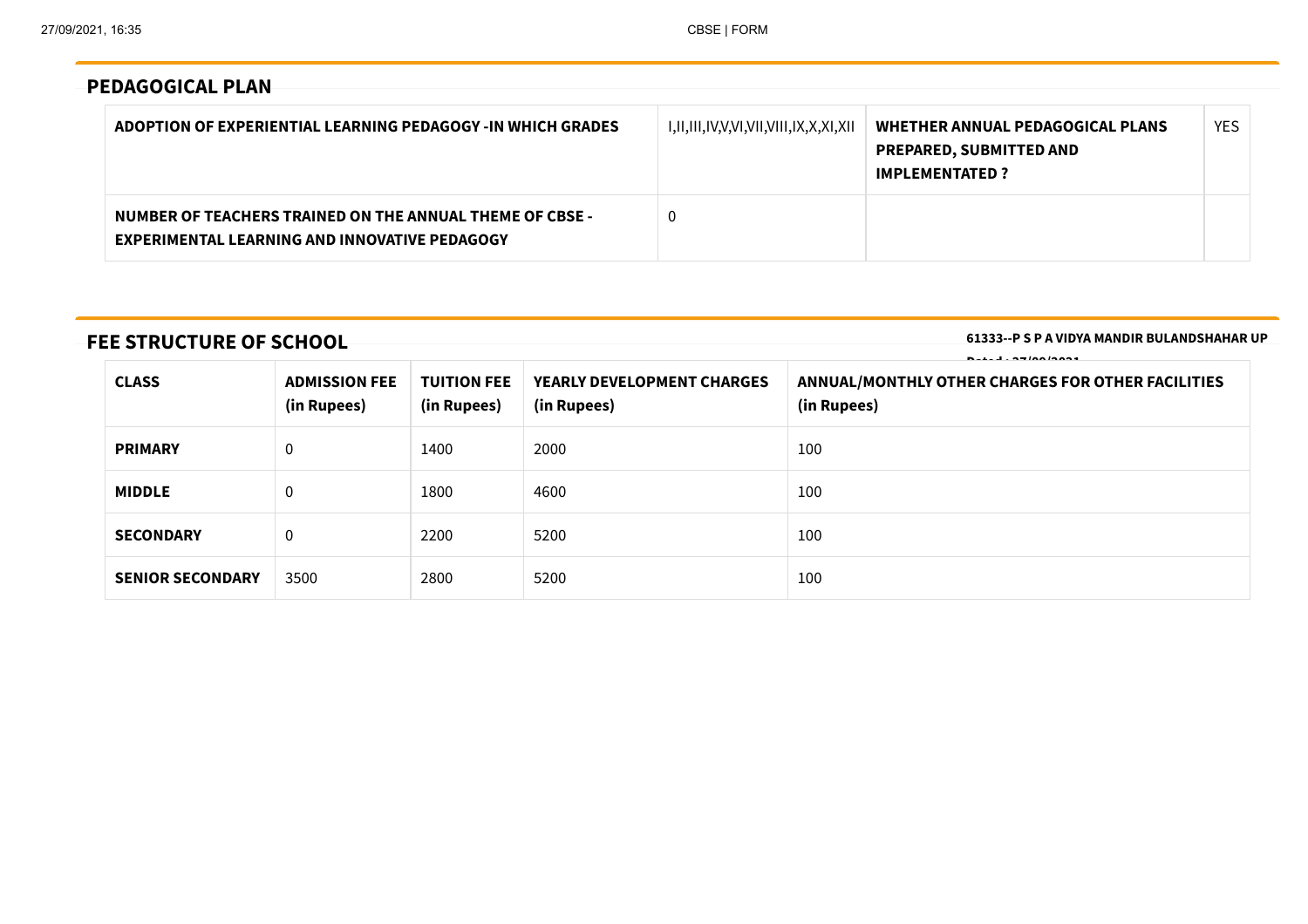# **PEDAGOGICAL PLAN**

| ADOPTION OF EXPERIENTIAL LEARNING PEDAGOGY -IN WHICH GRADES                                                      | I,II,III,IV,V,VI,VII,VIII,IX,X,XI,XII | WHETHER ANNUAL PEDAGOGICAL PLANS<br><b>PREPARED, SUBMITTED AND</b><br><b>IMPLEMENTATED?</b> | <b>YES</b> |
|------------------------------------------------------------------------------------------------------------------|---------------------------------------|---------------------------------------------------------------------------------------------|------------|
| NUMBER OF TEACHERS TRAINED ON THE ANNUAL THEME OF CBSE -<br><b>EXPERIMENTAL LEARNING AND INNOVATIVE PEDAGOGY</b> | 0                                     |                                                                                             |            |

# **FEE STRUCTURE OF SCHOOL**

**61333--P S P A VIDYA MANDIR BULANDSHAHAR UP**

| $\overline{1}$ $\overline{2}$ $\overline{5}$ $\overline{6}$ $\overline{8}$ $\overline{1}$ $\overline{2}$ $\overline{6}$ $\overline{2}$ $\overline{6}$ $\overline{2}$ $\overline{6}$ $\overline{2}$ $\overline{6}$ $\overline{2}$ $\overline{6}$ $\overline{2}$ $\overline{6}$ $\overline{2}$ $\overline{6}$ $\overline{2}$ $\overline{6}$ $\overline{2}$ $\overline{6}$ $\overline{$ |                                     |                                   |                                                  |                                                                  |
|--------------------------------------------------------------------------------------------------------------------------------------------------------------------------------------------------------------------------------------------------------------------------------------------------------------------------------------------------------------------------------------|-------------------------------------|-----------------------------------|--------------------------------------------------|------------------------------------------------------------------|
| <b>CLASS</b>                                                                                                                                                                                                                                                                                                                                                                         | <b>ADMISSION FEE</b><br>(in Rupees) | <b>TUITION FEE</b><br>(in Rupees) | <b>YEARLY DEVELOPMENT CHARGES</b><br>(in Rupees) | ANNUAL/MONTHLY OTHER CHARGES FOR OTHER FACILITIES<br>(in Rupees) |
| <b>PRIMARY</b>                                                                                                                                                                                                                                                                                                                                                                       | 0                                   | 1400                              | 2000                                             | 100                                                              |
| <b>MIDDLE</b>                                                                                                                                                                                                                                                                                                                                                                        | 0                                   | 1800                              | 4600                                             | 100                                                              |
| <b>SECONDARY</b>                                                                                                                                                                                                                                                                                                                                                                     | 0                                   | 2200                              | 5200                                             | 100                                                              |
| <b>SENIOR SECONDARY</b>                                                                                                                                                                                                                                                                                                                                                              | 3500                                | 2800                              | 5200                                             | 100                                                              |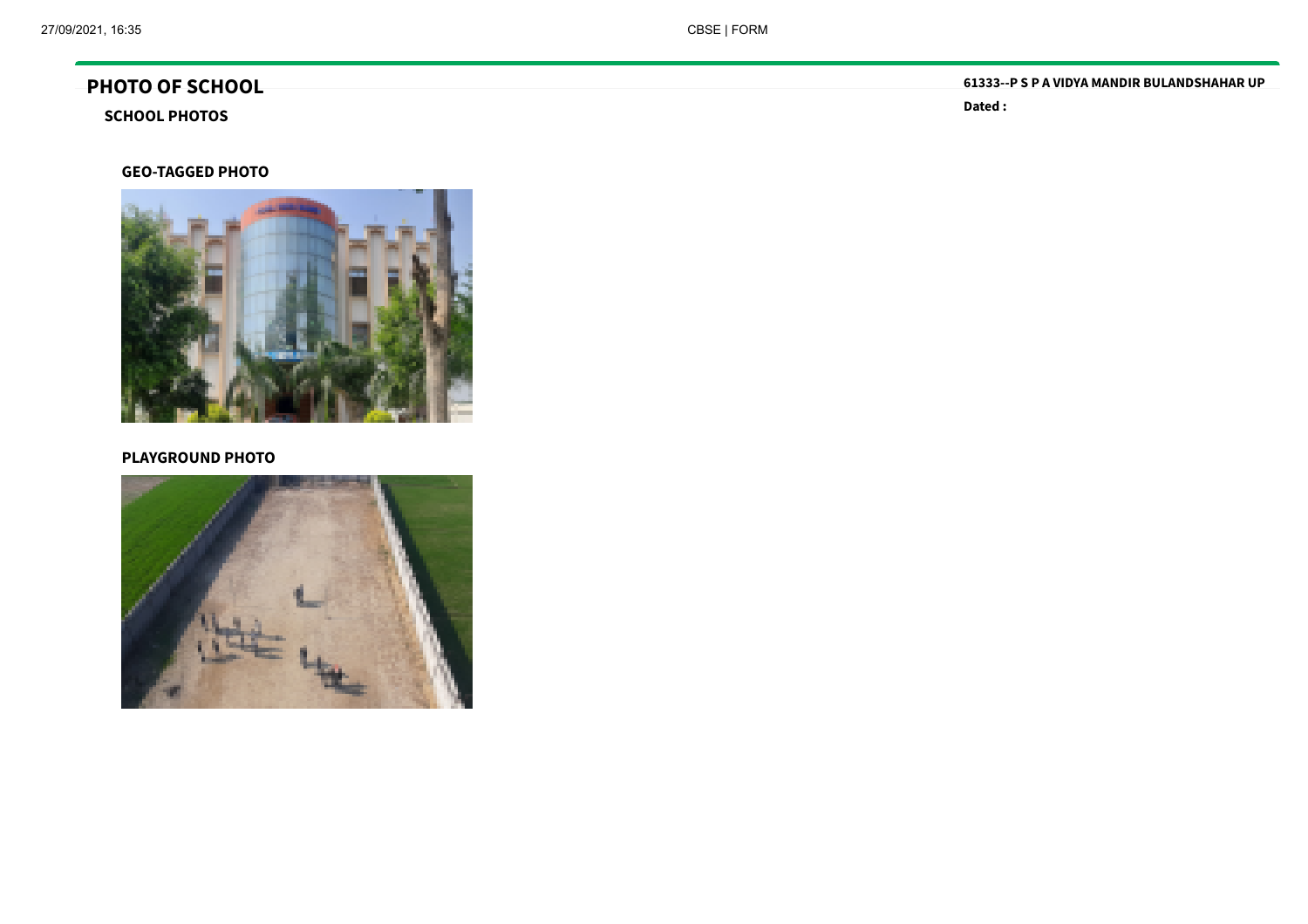# **PHOTO OF SCHOOL**

# **SCHOOL PHOTOS**

#### **GEO-TAGGED PHOTO**



#### **PLAYGROUND PHOTO**



**61333--P S P A VIDYA MANDIR BULANDSHAHAR UP**

**Dated :**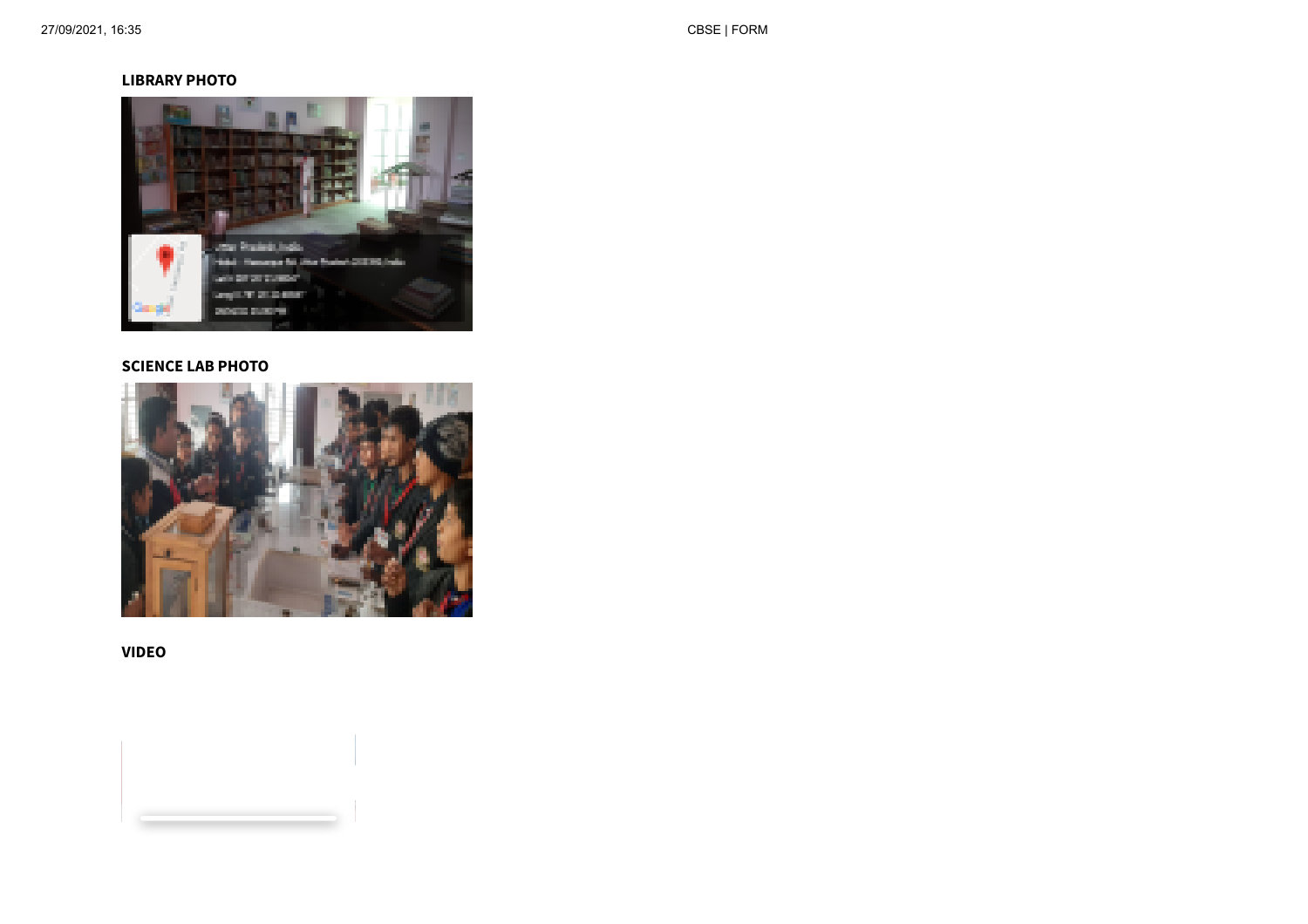#### **LIBRARY PHOTO**



#### **SCIENCE LAB PHOTO**



**VIDEO**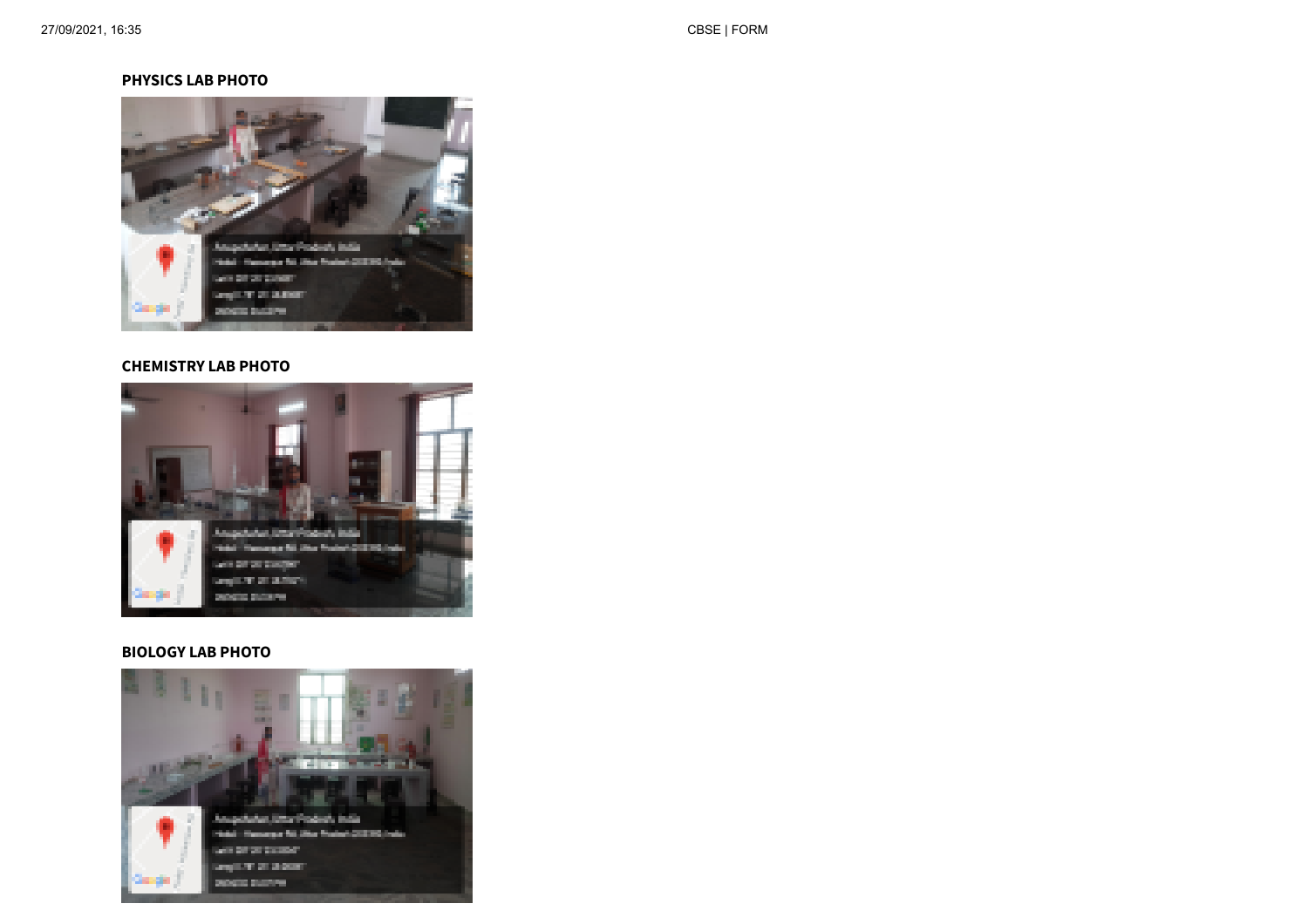#### **PHYSICS LAB PHOTO**



#### **CHEMISTRY LAB PHOTO**



#### **BIOLOGY LAB PHOTO**

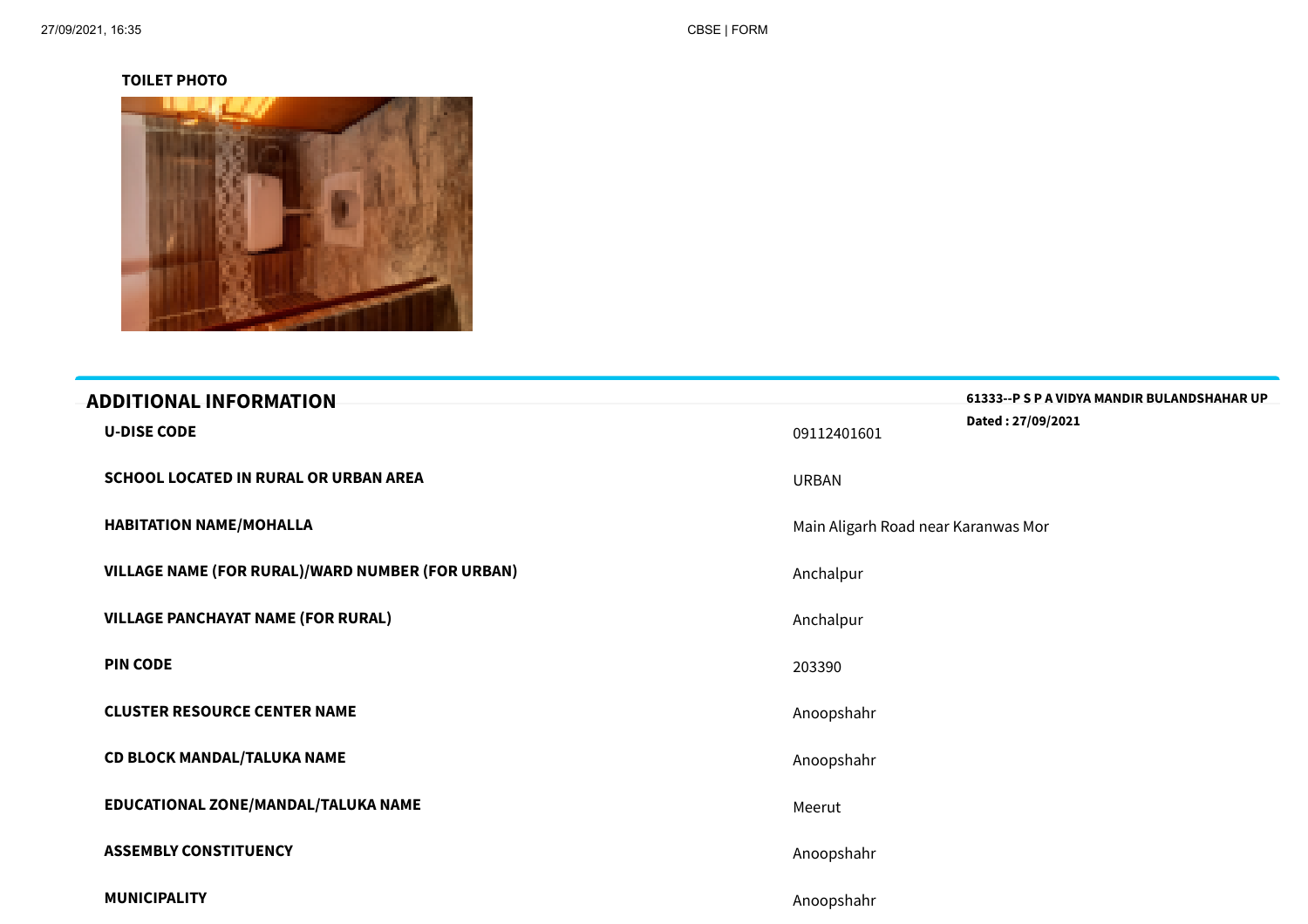#### **TOILET PHOTO**



| <b>ADDITIONAL INFORMATION</b>                    |                                     | 61333--P S P A VIDYA MANDIR BULANDSHAHAR UP |
|--------------------------------------------------|-------------------------------------|---------------------------------------------|
| <b>U-DISE CODE</b>                               | 09112401601                         | Dated: 27/09/2021                           |
| SCHOOL LOCATED IN RURAL OR URBAN AREA            | <b>URBAN</b>                        |                                             |
| <b>HABITATION NAME/MOHALLA</b>                   | Main Aligarh Road near Karanwas Mor |                                             |
| VILLAGE NAME (FOR RURAL)/WARD NUMBER (FOR URBAN) | Anchalpur                           |                                             |
| <b>VILLAGE PANCHAYAT NAME (FOR RURAL)</b>        | Anchalpur                           |                                             |
| <b>PIN CODE</b>                                  | 203390                              |                                             |
| <b>CLUSTER RESOURCE CENTER NAME</b>              | Anoopshahr                          |                                             |
| <b>CD BLOCK MANDAL/TALUKA NAME</b>               | Anoopshahr                          |                                             |
| EDUCATIONAL ZONE/MANDAL/TALUKA NAME              | Meerut                              |                                             |
| <b>ASSEMBLY CONSTITUENCY</b>                     | Anoopshahr                          |                                             |
| <b>MUNICIPALITY</b>                              | Anoopshahr                          |                                             |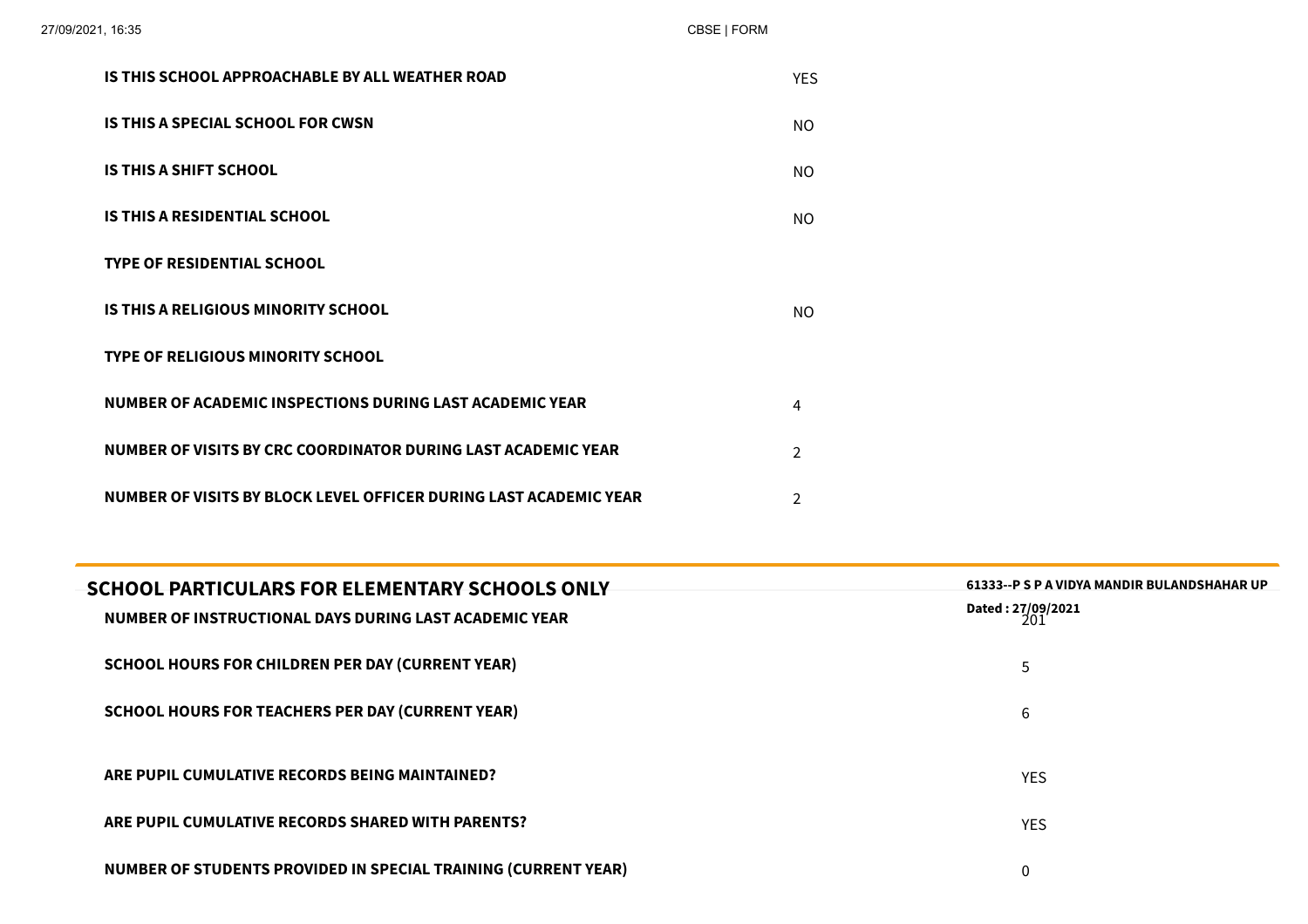| IS THIS SCHOOL APPROACHABLE BY ALL WEATHER ROAD                   | <b>YES</b>     |
|-------------------------------------------------------------------|----------------|
| IS THIS A SPECIAL SCHOOL FOR CWSN                                 | NO.            |
| IS THIS A SHIFT SCHOOL                                            | NO.            |
| <b>IS THIS A RESIDENTIAL SCHOOL</b>                               | NO.            |
| <b>TYPE OF RESIDENTIAL SCHOOL</b>                                 |                |
| IS THIS A RELIGIOUS MINORITY SCHOOL                               | NO.            |
| <b>TYPE OF RELIGIOUS MINORITY SCHOOL</b>                          |                |
| NUMBER OF ACADEMIC INSPECTIONS DURING LAST ACADEMIC YEAR          | 4              |
| NUMBER OF VISITS BY CRC COORDINATOR DURING LAST ACADEMIC YEAR     | $\mathcal{P}$  |
| NUMBER OF VISITS BY BLOCK LEVEL OFFICER DURING LAST ACADEMIC YEAR | $\mathfrak{D}$ |
|                                                                   |                |

| <b>SCHOOL PARTICULARS FOR ELEMENTARY SCHOOLS ONLY</b><br>NUMBER OF INSTRUCTIONAL DAYS DURING LAST ACADEMIC YEAR | 61333--P S P A VIDYA MANDIR BULANDSHAHAR UP<br>Dated: 27/09/2021<br>201 |
|-----------------------------------------------------------------------------------------------------------------|-------------------------------------------------------------------------|
| SCHOOL HOURS FOR CHILDREN PER DAY (CURRENT YEAR)                                                                | 5                                                                       |
| <b>SCHOOL HOURS FOR TEACHERS PER DAY (CURRENT YEAR)</b>                                                         | 6                                                                       |
| ARE PUPIL CUMULATIVE RECORDS BEING MAINTAINED?                                                                  | <b>YES</b>                                                              |
| ARE PUPIL CUMULATIVE RECORDS SHARED WITH PARENTS?                                                               | <b>YES</b>                                                              |
| <b>NUMBER OF STUDENTS PROVIDED IN SPECIAL TRAINING (CURRENT YEAR)</b>                                           | 0                                                                       |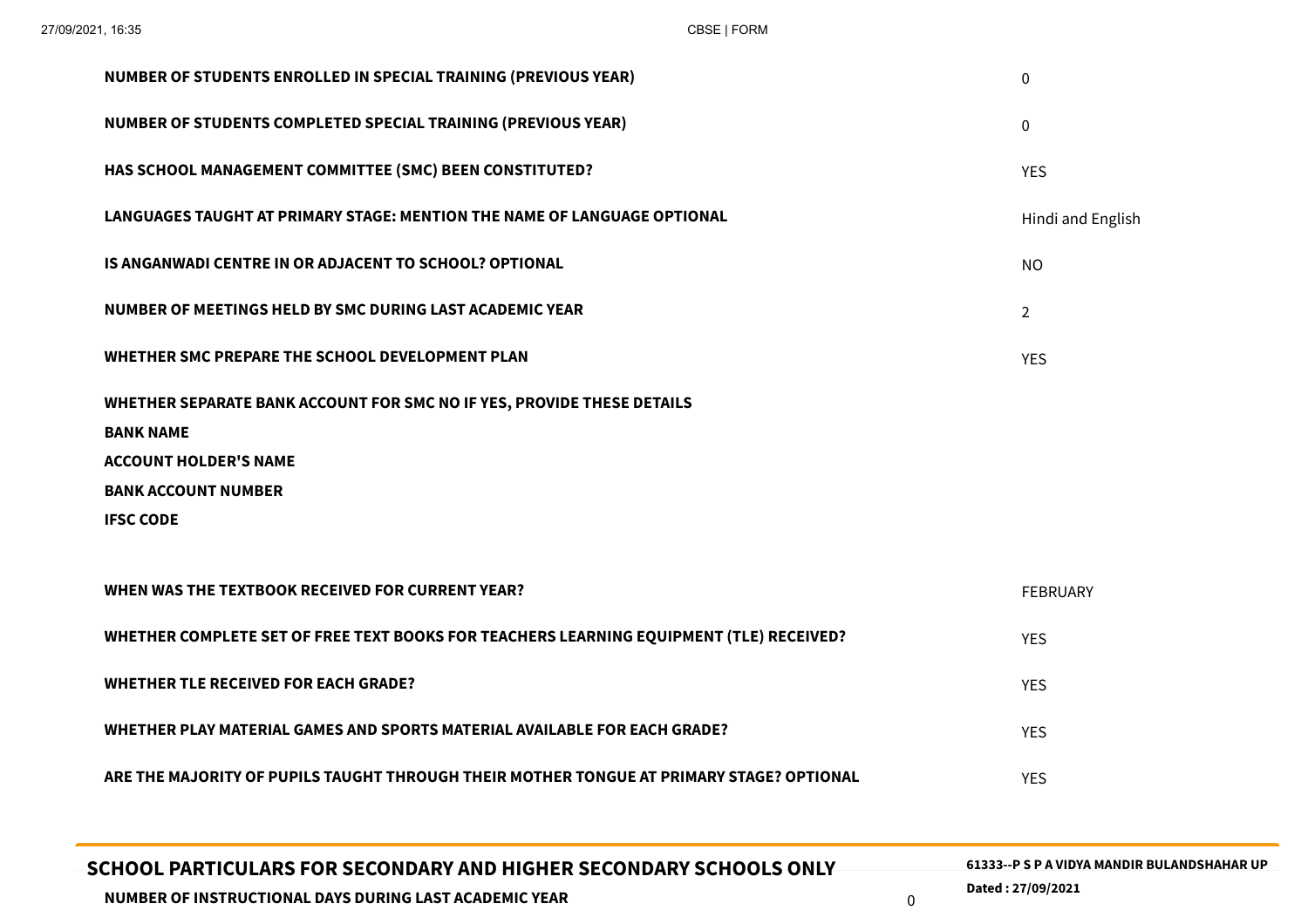| SCHOOL PARTICULARS FOR SECONDARY AND HIGHER SECONDARY SCHOOLS ONLY<br>NUMBER OF INSTRUCTIONAL DAYS DURING LAST ACADEMIC YEAR | 61333--P S P A VIDYA MANDIR BULANDSHAHAR UP<br>Dated: 27/09/2021<br>$\mathbf 0$ |
|------------------------------------------------------------------------------------------------------------------------------|---------------------------------------------------------------------------------|
|                                                                                                                              | <b>YES</b>                                                                      |
| ARE THE MAJORITY OF PUPILS TAUGHT THROUGH THEIR MOTHER TONGUE AT PRIMARY STAGE? OPTIONAL                                     |                                                                                 |
| WHETHER PLAY MATERIAL GAMES AND SPORTS MATERIAL AVAILABLE FOR EACH GRADE?                                                    | <b>YES</b>                                                                      |
| <b>WHETHER TLE RECEIVED FOR EACH GRADE?</b>                                                                                  | <b>YES</b>                                                                      |
| WHETHER COMPLETE SET OF FREE TEXT BOOKS FOR TEACHERS LEARNING EQUIPMENT (TLE) RECEIVED?                                      | <b>YES</b>                                                                      |
| WHEN WAS THE TEXTBOOK RECEIVED FOR CURRENT YEAR?                                                                             | <b>FEBRUARY</b>                                                                 |
| <b>IFSC CODE</b>                                                                                                             |                                                                                 |
| <b>BANK ACCOUNT NUMBER</b>                                                                                                   |                                                                                 |
| <b>ACCOUNT HOLDER'S NAME</b>                                                                                                 |                                                                                 |
| WHETHER SEPARATE BANK ACCOUNT FOR SMC NO IF YES, PROVIDE THESE DETAILS<br><b>BANK NAME</b>                                   |                                                                                 |
| WHETHER SMC PREPARE THE SCHOOL DEVELOPMENT PLAN                                                                              | <b>YES</b>                                                                      |
| NUMBER OF MEETINGS HELD BY SMC DURING LAST ACADEMIC YEAR                                                                     | $\overline{2}$                                                                  |
| IS ANGANWADI CENTRE IN OR ADJACENT TO SCHOOL? OPTIONAL                                                                       | <b>NO</b>                                                                       |
| LANGUAGES TAUGHT AT PRIMARY STAGE: MENTION THE NAME OF LANGUAGE OPTIONAL                                                     | Hindi and English                                                               |
| HAS SCHOOL MANAGEMENT COMMITTEE (SMC) BEEN CONSTITUTED?                                                                      | <b>YES</b>                                                                      |
| NUMBER OF STUDENTS COMPLETED SPECIAL TRAINING (PREVIOUS YEAR)                                                                | $\mathbf 0$                                                                     |
| NUMBER OF STUDENTS ENROLLED IN SPECIAL TRAINING (PREVIOUS YEAR)                                                              | $\mathbf 0$                                                                     |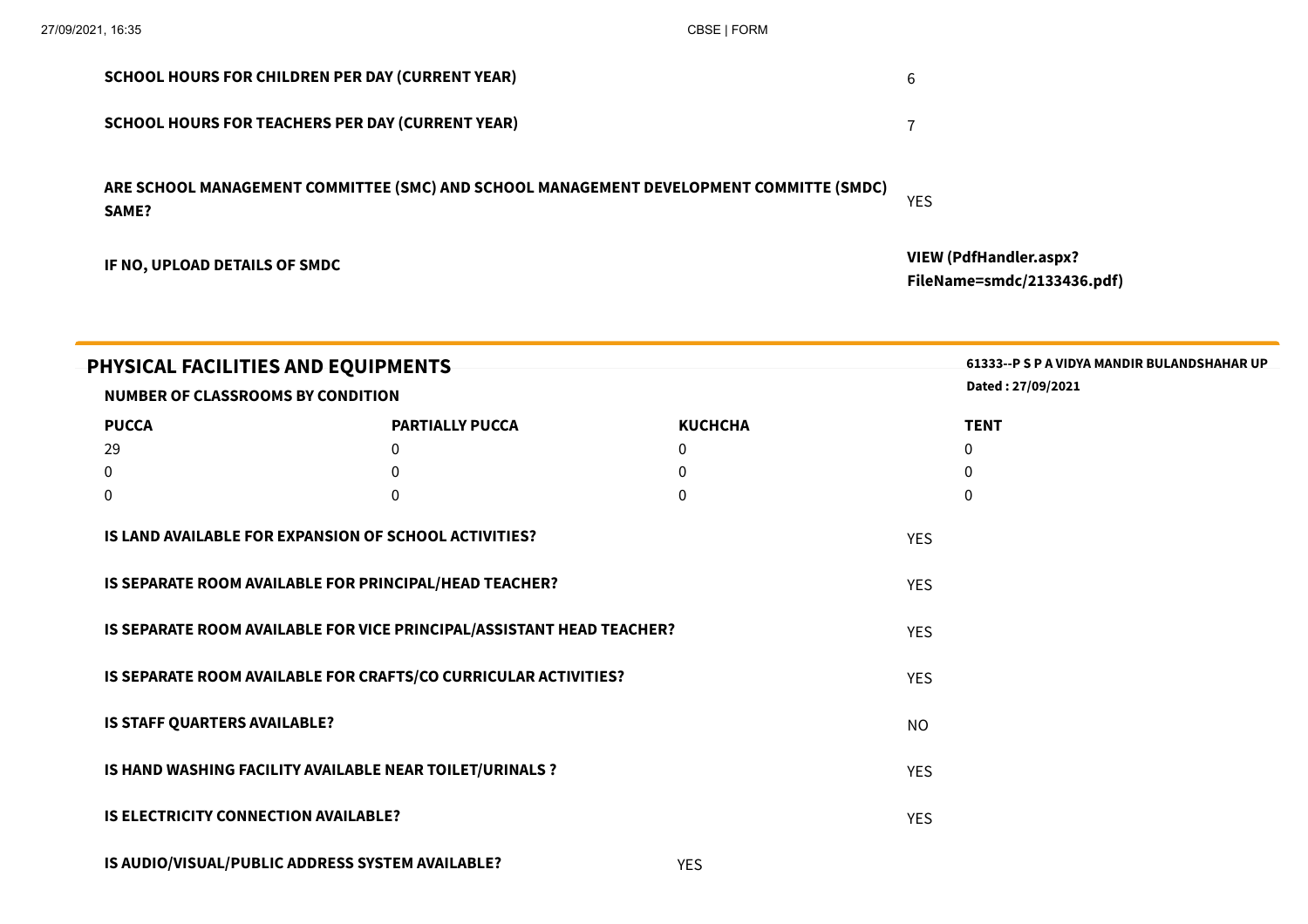| IF NO, UPLOAD DETAILS OF SMDC                                                                    | <b>VIEW (PdfHandler.aspx?</b><br>FileName=smdc/2133436.pdf) |
|--------------------------------------------------------------------------------------------------|-------------------------------------------------------------|
| ARE SCHOOL MANAGEMENT COMMITTEE (SMC) AND SCHOOL MANAGEMENT DEVELOPMENT COMMITTE (SMDC)<br>SAME? | <b>YES</b>                                                  |
| <b>SCHOOL HOURS FOR TEACHERS PER DAY (CURRENT YEAR)</b>                                          |                                                             |
| <b>SCHOOL HOURS FOR CHILDREN PER DAY (CURRENT YEAR)</b>                                          | 6                                                           |

| PHYSICAL FACILITIES AND EQUIPMENTS<br>NUMBER OF CLASSROOMS BY CONDITION | 61333--P S P A VIDYA MANDIR BULANDSHAHAR UP<br>Dated: 27/09/2021 |                |            |             |
|-------------------------------------------------------------------------|------------------------------------------------------------------|----------------|------------|-------------|
| <b>PUCCA</b>                                                            | <b>PARTIALLY PUCCA</b>                                           | <b>KUCHCHA</b> |            | <b>TENT</b> |
| 29                                                                      | 0                                                                | $\mathbf 0$    |            | $\mathbf 0$ |
| 0                                                                       | 0                                                                | $\mathbf 0$    |            | $\Omega$    |
| $\pmb{0}$                                                               | 0                                                                | $\mathbf{0}$   |            | $\Omega$    |
| IS LAND AVAILABLE FOR EXPANSION OF SCHOOL ACTIVITIES?                   |                                                                  |                | <b>YES</b> |             |
| IS SEPARATE ROOM AVAILABLE FOR PRINCIPAL/HEAD TEACHER?                  |                                                                  |                | <b>YES</b> |             |
|                                                                         |                                                                  |                |            |             |
| IS SEPARATE ROOM AVAILABLE FOR VICE PRINCIPAL/ASSISTANT HEAD TEACHER?   |                                                                  |                | <b>YES</b> |             |
| IS SEPARATE ROOM AVAILABLE FOR CRAFTS/CO CURRICULAR ACTIVITIES?         |                                                                  |                | <b>YES</b> |             |
| IS STAFF QUARTERS AVAILABLE?                                            |                                                                  |                | <b>NO</b>  |             |
| IS HAND WASHING FACILITY AVAILABLE NEAR TOILET/URINALS ?                |                                                                  |                | <b>YES</b> |             |
| <b>IS ELECTRICITY CONNECTION AVAILABLE?</b>                             |                                                                  |                | <b>YES</b> |             |
|                                                                         |                                                                  |                |            |             |

| IS AUDIO/VISUAL/PUBLIC ADDRESS SYSTEM AVAILABLE? | YES |
|--------------------------------------------------|-----|
|                                                  |     |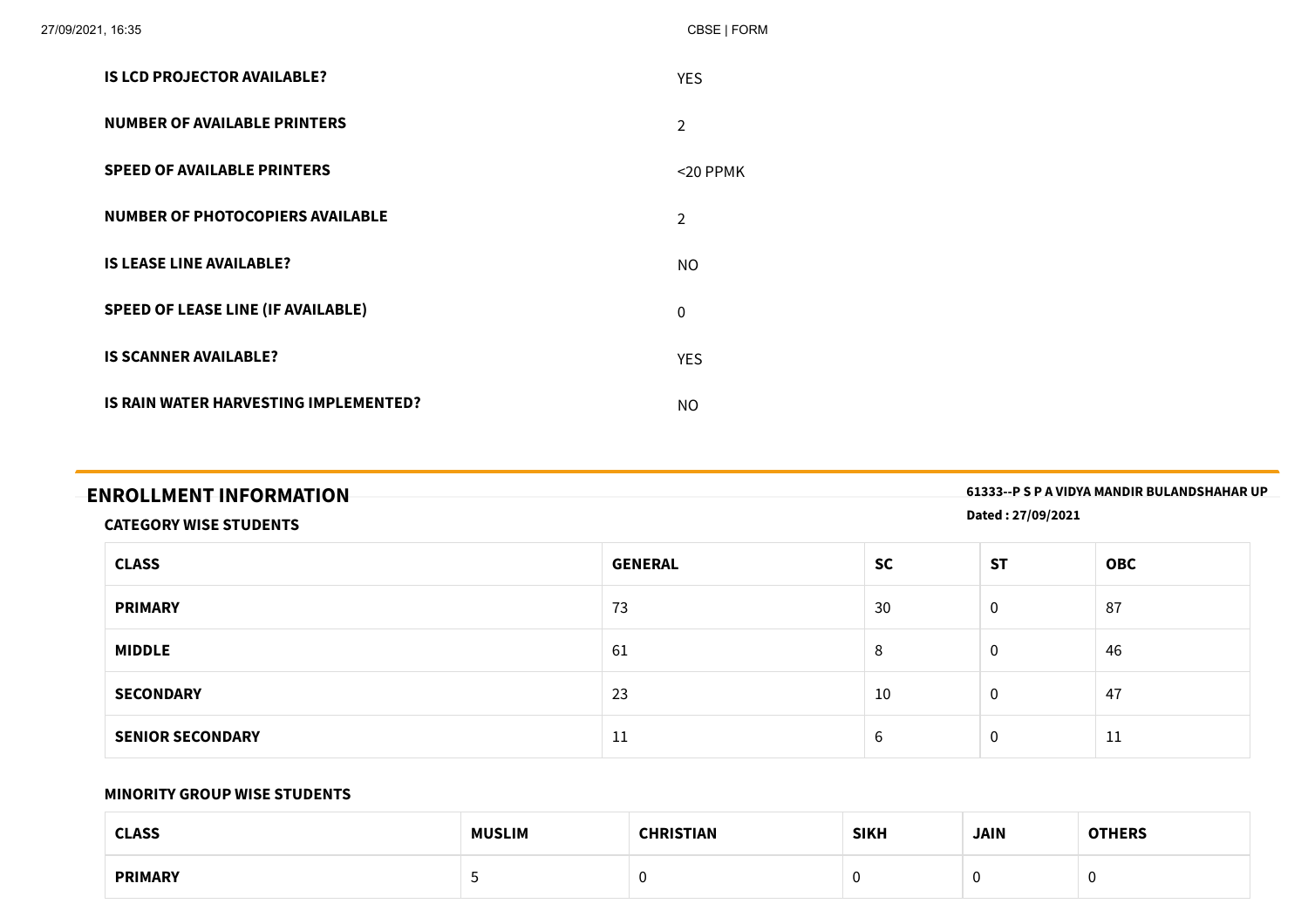| 27/09/2021, 16:35 |                                           | CBSE   FORM    |
|-------------------|-------------------------------------------|----------------|
|                   | <b>IS LCD PROJECTOR AVAILABLE?</b>        | <b>YES</b>     |
|                   | <b>NUMBER OF AVAILABLE PRINTERS</b>       | $\overline{2}$ |
|                   | <b>SPEED OF AVAILABLE PRINTERS</b>        | $<$ 20 PPMK    |
|                   | <b>NUMBER OF PHOTOCOPIERS AVAILABLE</b>   | $\overline{2}$ |
|                   | <b>IS LEASE LINE AVAILABLE?</b>           | <b>NO</b>      |
|                   | <b>SPEED OF LEASE LINE (IF AVAILABLE)</b> | $\mathbf 0$    |
|                   | <b>IS SCANNER AVAILABLE?</b>              | <b>YES</b>     |
|                   | IS RAIN WATER HARVESTING IMPLEMENTED?     | <b>NO</b>      |

|  | <b>ENROLLMENT INFORMATION</b> |
|--|-------------------------------|
|--|-------------------------------|

**ENROLLMENT INFORMATION 61333--P <sup>S</sup> <sup>P</sup> <sup>A</sup> VIDYA MANDIR BULANDSHAHAR UP**

**Dated : 27/09/2021**

#### **CATEGORY WISE STUDENTS**

| <b>CLASS</b>            | <b>GENERAL</b> | <b>SC</b>                     | <b>ST</b>   | <b>OBC</b> |
|-------------------------|----------------|-------------------------------|-------------|------------|
| <b>PRIMARY</b>          | 73             | 30                            | $\mathbf 0$ | 87         |
| <b>MIDDLE</b>           | 61             | 8                             | $\mathbf 0$ | 46         |
| <b>SECONDARY</b>        | 23             | 10                            | $\mathbf 0$ | 47         |
| <b>SENIOR SECONDARY</b> | 11             | $\overline{\phantom{0}}$<br>b | 0           | 11         |

#### **MINORITY GROUP WISE STUDENTS**

| <b>CLASS</b>   | <b>MUSLIM</b> | CHRISTIAN | <b>SIKH</b> | <b>JAIN</b> | <b>OTHERS</b> |
|----------------|---------------|-----------|-------------|-------------|---------------|
| <b>PRIMARY</b> |               |           |             |             |               |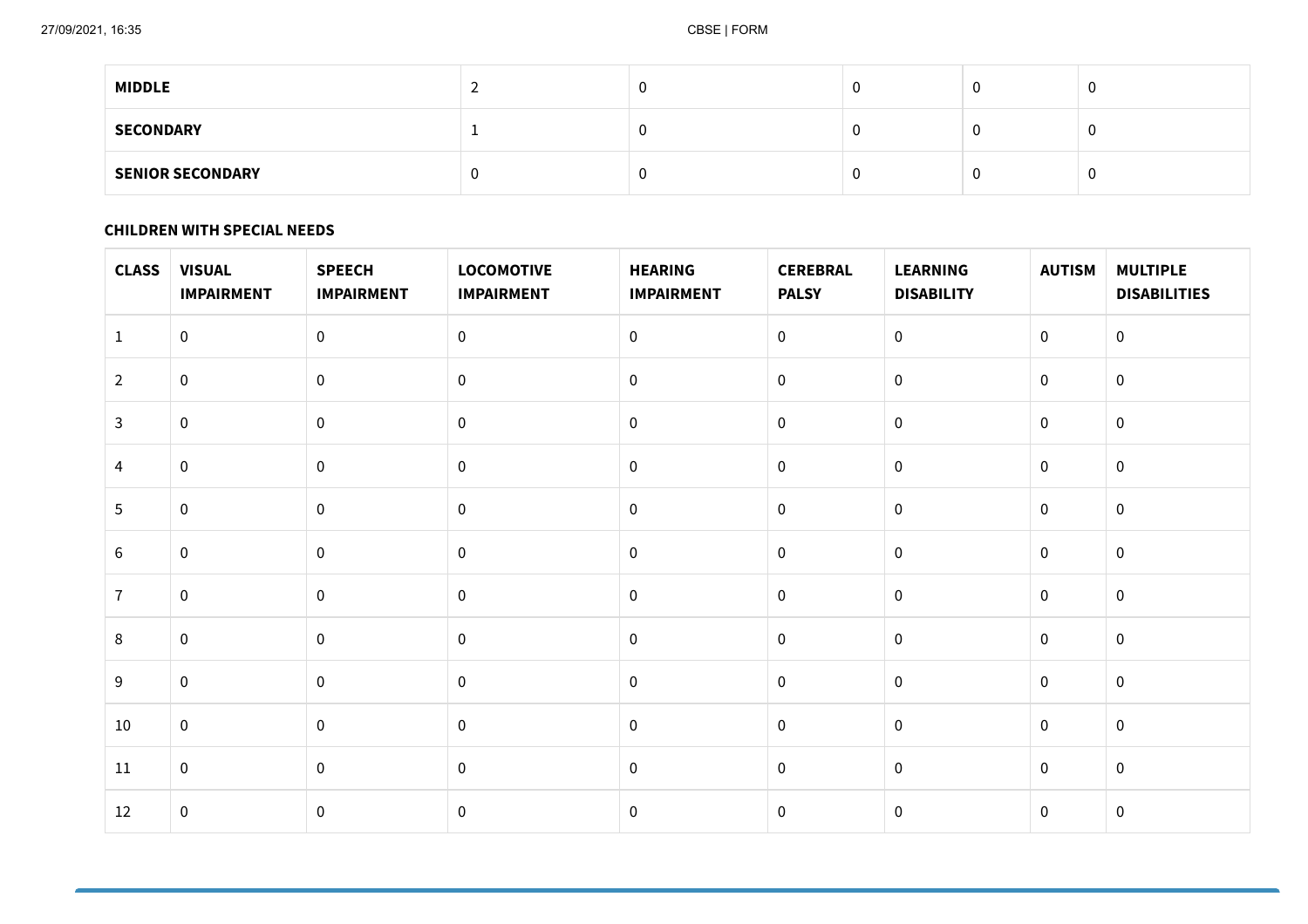| <b>MIDDLE</b>           |   |     | v |
|-------------------------|---|-----|---|
| <b>SECONDARY</b>        | ∼ | . . | v |
| <b>SENIOR SECONDARY</b> |   |     | v |

#### **CHILDREN WITH SPECIAL NEEDS**

| <b>CLASS</b>   | <b>VISUAL</b><br><b>IMPAIRMENT</b> | <b>SPEECH</b><br><b>IMPAIRMENT</b> | <b>LOCOMOTIVE</b><br><b>IMPAIRMENT</b> | <b>HEARING</b><br><b>IMPAIRMENT</b> | <b>CEREBRAL</b><br><b>PALSY</b> | <b>LEARNING</b><br><b>DISABILITY</b> | <b>AUTISM</b>    | <b>MULTIPLE</b><br><b>DISABILITIES</b> |
|----------------|------------------------------------|------------------------------------|----------------------------------------|-------------------------------------|---------------------------------|--------------------------------------|------------------|----------------------------------------|
| $\mathbf{1}$   | $\mathbf 0$                        | $\pmb{0}$                          | $\pmb{0}$                              | $\pmb{0}$                           | $\boldsymbol{0}$                | $\overline{0}$                       | $\overline{0}$   | $\boldsymbol{0}$                       |
| $\overline{2}$ | $\boldsymbol{0}$                   | $\pmb{0}$                          | $\mathbf 0$                            | $\pmb{0}$                           | $\boldsymbol{0}$                | $\mathbf 0$                          | $\mathbf 0$      | $\pmb{0}$                              |
| $\mathbf{3}$   | $\mathbf 0$                        | $\pmb{0}$                          | $\mathbf 0$                            | $\pmb{0}$                           | $\overline{0}$                  | $\mathbf 0$                          | $\overline{0}$   | $\boldsymbol{0}$                       |
| 4              | $\mathbf 0$                        | $\pmb{0}$                          | $\pmb{0}$                              | $\pmb{0}$                           | $\mathbf 0$                     | $\mathbf 0$                          | $\overline{0}$   | $\pmb{0}$                              |
| 5              | $\mathbf 0$                        | $\pmb{0}$                          | $\mathbf 0$                            | $\pmb{0}$                           | $\pmb{0}$                       | $\mathbf 0$                          | $\mathbf 0$      | $\pmb{0}$                              |
| $6\,$          | $\overline{0}$                     | $\pmb{0}$                          | $\mathbf 0$                            | $\mathbf 0$                         | $\boldsymbol{0}$                | $\mathbf 0$                          | $\boldsymbol{0}$ | $\pmb{0}$                              |
| $\overline{7}$ | $\pmb{0}$                          | $\mathbf 0$                        | $\mathbf 0$                            | $\pmb{0}$                           | $\boldsymbol{0}$                | $\mathbf 0$                          | $\mathbf 0$      | $\pmb{0}$                              |
| 8              | $\mathbf 0$                        | $\pmb{0}$                          | $\mathbf 0$                            | $\pmb{0}$                           | $\overline{0}$                  | $\mathbf 0$                          | $\overline{0}$   | $\mathbf{0}$                           |
| $9\,$          | $\boldsymbol{0}$                   | $\pmb{0}$                          | $\mathbf 0$                            | $\pmb{0}$                           | $\boldsymbol{0}$                | $\mathbf 0$                          | $\overline{0}$   | $\pmb{0}$                              |
| 10             | $\mathbf 0$                        | $\pmb{0}$                          | $\pmb{0}$                              | $\pmb{0}$                           | $\pmb{0}$                       | $\mathbf 0$                          | $\overline{0}$   | $\pmb{0}$                              |
| 11             | $\mathbf 0$                        | $\pmb{0}$                          | $\mathbf 0$                            | $\mathbf 0$                         | $\boldsymbol{0}$                | $\overline{0}$                       | $\overline{0}$   | $\pmb{0}$                              |
| 12             | $\pmb{0}$                          | $\pmb{0}$                          | $\pmb{0}$                              | $\pmb{0}$                           | $\boldsymbol{0}$                | $\mathbf 0$                          | $\boldsymbol{0}$ | $\pmb{0}$                              |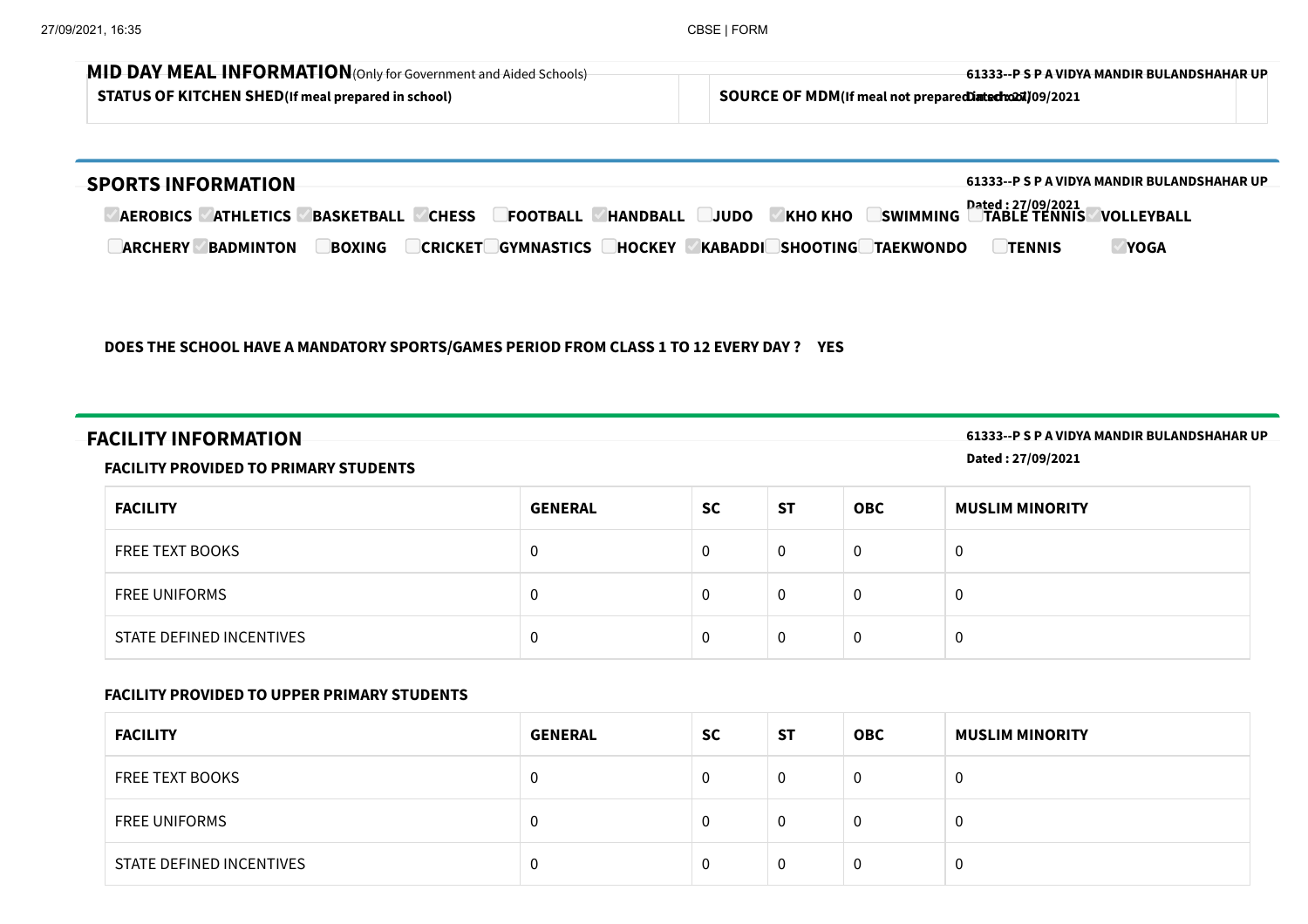| MID DAY MEAL INFORMATION (Only for Government and Aided Schools) | -61333--P S P A VIDYA MANDIR BULANDSHAHAR UP            |  |
|------------------------------------------------------------------|---------------------------------------------------------|--|
| <b>STATUS OF KITCHEN SHED</b> (If meal prepared in school)       | SOURCE OF MDM(If meal not preparediated to 201) 09/2021 |  |

| <b>SPORTS INFORMATION</b>                                                                                                                                          |                                     | 61333--P S P A VIDYA MANDIR BULANDSHAHAR UP |
|--------------------------------------------------------------------------------------------------------------------------------------------------------------------|-------------------------------------|---------------------------------------------|
| <b>HANDBALL</b><br><b>KHO KHO</b><br><b>ATHLETICS</b><br><b>BASKETBALL</b><br><b>CHESS</b><br><b>SWIMMING</b><br><b>FOOTBALL</b><br><b>JUDO</b><br><b>AEROBICS</b> | Dated : 27/09/2021<br>©TABLE TENNIS | <b>VOLLEYBALL</b>                           |
| <b>GYMNASTICS</b><br>KABADDI<br><b>SHOOTING</b><br><b>BOXING</b><br><b>CRICKET</b><br><b>HOCKEY</b><br><b>TAEKWONDO</b><br><b>BADMINTON</b><br><b>ARCHERY</b>      | <b>TENNIS</b>                       | <b>YOGA</b>                                 |

#### **DOES THE SCHOOL HAVE A MANDATORY SPORTS/GAMES PERIOD FROM CLASS 1 TO 12 EVERY DAY ? YES**

**FACILITY INFORMATION 61333--P <sup>S</sup> <sup>P</sup> <sup>A</sup> VIDYA MANDIR BULANDSHAHAR UP**

**Dated : 27/09/2021**

### **FACILITY PROVIDED TO PRIMARY STUDENTS**

| <b>FACILITY</b>          | <b>GENERAL</b> | <b>SC</b> | <b>ST</b> | <b>OBC</b> | <b>MUSLIM MINORITY</b> |
|--------------------------|----------------|-----------|-----------|------------|------------------------|
| <b>FREE TEXT BOOKS</b>   | 0              |           | 0         | 0          | υ                      |
| <b>FREE UNIFORMS</b>     | 0              | 0         | 0         | 0          | υ                      |
| STATE DEFINED INCENTIVES | 0              |           | 0         | 0          | U                      |

#### **FACILITY PROVIDED TO UPPER PRIMARY STUDENTS**

| <b>FACILITY</b>          | <b>GENERAL</b> | <b>SC</b> | <b>ST</b> | <b>OBC</b> | <b>MUSLIM MINORITY</b> |
|--------------------------|----------------|-----------|-----------|------------|------------------------|
| <b>FREE TEXT BOOKS</b>   | 0              |           | 0         | 0          |                        |
| <b>FREE UNIFORMS</b>     | 0              |           | 0         | 0          | U                      |
| STATE DEFINED INCENTIVES | 0              |           | 0         | 0          | - 0                    |